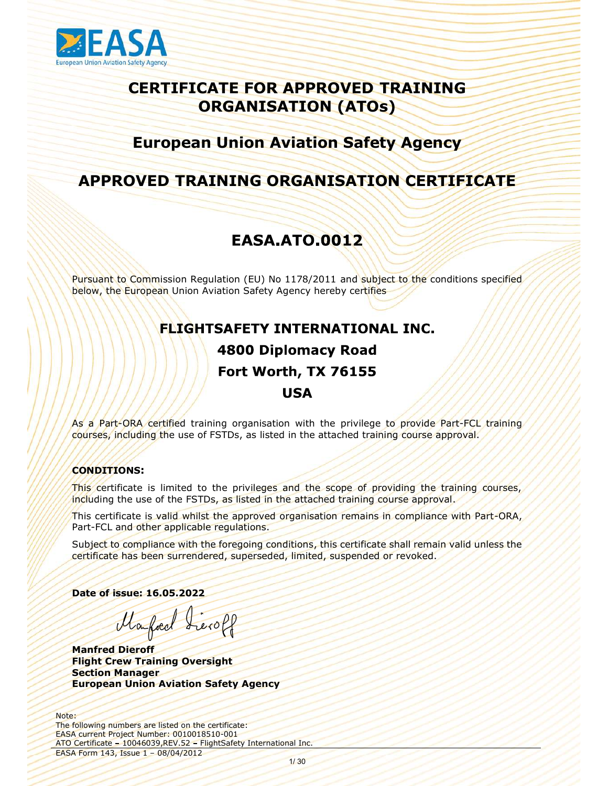

# SA<br>
CERTIFICATE FOR APPROVED TRAINING<br>
ORGANISATION (ATOs)<br>
European Union Aviation Safety Agency ORGANISATION (ATOs) **EASA**<br>
CERTIFICATE FOR APPROVED TRAINING<br>
ORGANISATION (ATOS)<br>
European Union Aviation Safety Agency<br>
APPROVED TRAINING ORGANISATION CERTIFICATE<br>
FASA ATO 0012 **PEASA<br>
CERTIFICATE FOR APPROVED TRAINING<br>
ORGANISATION (ATOs)<br>
European Union Aviation Safety Agency<br>
APPROVED TRAINING ORGANISATION CERTIFICATE<br>
EASA.ATO.0012<br>
Pursuant to Commission Regulation (EU) No 1178/2011 and subj EASA**<br>
CERTIFICATE FOR APPROVED TRAINING<br>
ORGANISATION (ATOS)<br>
European Union Aviation Safety Agency<br>
APPROVED TRAINING ORGANISATION CERTIFICATE<br>
EASA.ATO.0012<br>
Pursuant to Commission Regulation (EU) No 1178/2011 and subj

# European Union Aviation Safety Agency

# Fort Worth, TX 76155 **USA**

As a Part-ORA certified training organisation with the privilege to provide Part-FCL training courses, including the use of FSTDs, as listed in the attached training course approval.

### CONDITIONS:

This certificate is limited to the privileges and the scope of providing the training courses, including the use of the FSTDs, as listed in the attached training course approval.

This certificate is valid whilst the approved organisation remains in compliance with Part-ORA, Part-FCL and other applicable regulations.

anisation remains in compliance with Part-ORA, Subject to compliance with the foregoing conditions, this certificate shall remain valid unless the certificate has been surrendered, superseded, limited, suspended or revoked.

Date of issue: 16.05.2022

Marfied Sieroff

Manfred Dieroff Flight Crew Training Oversight Section Manager European Union Aviation Safety Agency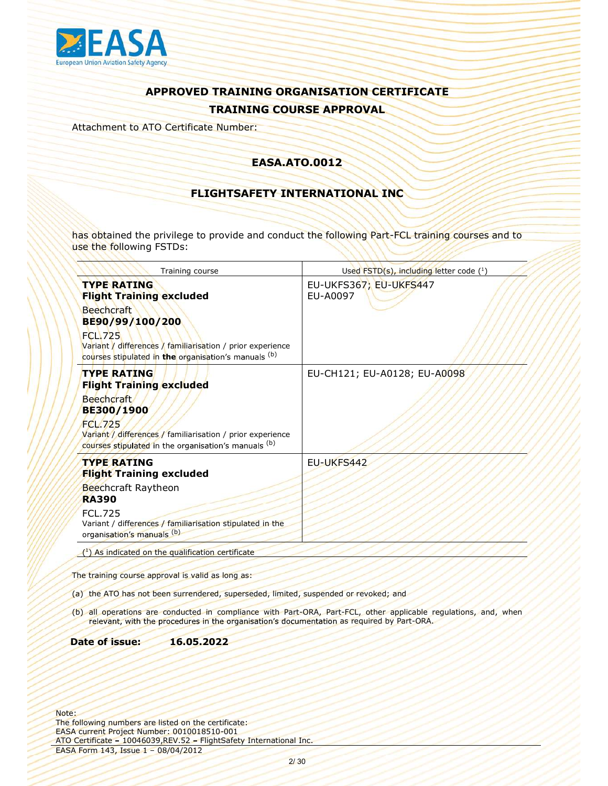

Attachment to ATO Certificate Number:

### EASA.ATO.0012

### FLIGHTSAFETY INTERNATIONAL INC

has obtained the privilege to provide and conduct the following Part-FCL training courses and to use the following FSTDs:

|              | Training course                                                                                                                                                                                                                       | Used FSTD(s), including letter code (1)                                                                         |
|--------------|---------------------------------------------------------------------------------------------------------------------------------------------------------------------------------------------------------------------------------------|-----------------------------------------------------------------------------------------------------------------|
|              | <b>TYPE RATING</b><br><b>Flight Training excluded</b><br><b>Beechcraft</b><br>BE90/99/100/200<br><b>FCL.725</b><br>Variant / differences / familiarisation / prior experience<br>courses stipulated in the organisation's manuals (b) | EU-UKFS367; EU-UKFS447<br>EU-A0097                                                                              |
|              | <b>TYPE RATING</b><br><b>Flight Training excluded</b><br><b>Beechcraft</b><br>BE300/1900<br><b>FCL.725</b><br>Variant / differences / familiarisation / prior experience<br>courses stipulated in the organisation's manuals (b)      | EU-CH121; EU-A0128; EU-A0098                                                                                    |
| <b>RA390</b> | <b>TYPE RATING</b><br><b>Flight Training excluded</b><br>Beechcraft Raytheon<br><b>FCL.725</b><br>Variant / differences / familiarisation stipulated in the<br>organisation's manuals (b)                                             | EU-UKFS442                                                                                                      |
|              | $(1)$ As indicated on the qualification certificate                                                                                                                                                                                   |                                                                                                                 |
|              |                                                                                                                                                                                                                                       |                                                                                                                 |
|              | The training course approval is valid as long as:                                                                                                                                                                                     |                                                                                                                 |
|              | (a) the ATO has not been surrendered, superseded, limited, suspended or revoked; and                                                                                                                                                  |                                                                                                                 |
|              | relevant, with the procedures in the organisation's documentation as required by Part-ORA.                                                                                                                                            | (b) all operations are conducted in compliance with Part-ORA, Part-FCL, other applicable regulations, and, when |
|              | Date of issue:<br>16.05.2022                                                                                                                                                                                                          |                                                                                                                 |
|              | following numbers are listed on the certificate:<br>A current Project Number: 0010018510-001<br>Certificate - 10046039, REV.52 - FlightSafety International Inc.<br>4 Form 143, Issue 1 - 08/04/2012                                  |                                                                                                                 |
|              | 2/30                                                                                                                                                                                                                                  |                                                                                                                 |

### Date of issue: 16.05.2022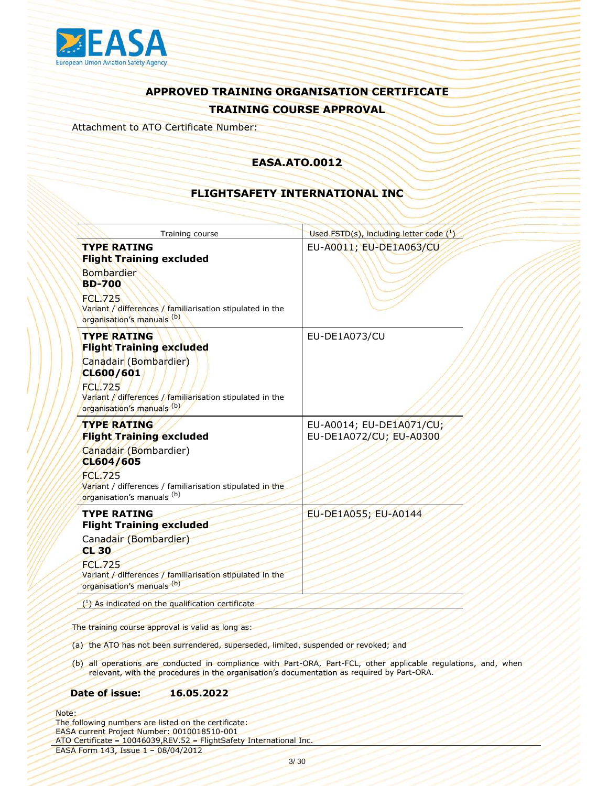

Attachment to ATO Certificate Number:

### EASA.ATO.0012

### FLIGHTSAFETY INTERNATIONAL INC

| Training course                                                                                                                                                                                          | Used FSTD(s), including letter code $(^1)$                                                                      |
|----------------------------------------------------------------------------------------------------------------------------------------------------------------------------------------------------------|-----------------------------------------------------------------------------------------------------------------|
| <b>TYPE RATING</b><br><b>Flight Training excluded</b><br><b>Bombardier</b><br><b>BD-700</b><br><b>FCL.725</b><br>Variant / differences / familiarisation stipulated in the<br>organisation's manuals (b) | EU-A0011; EU-DE1A063/CU                                                                                         |
| <b>TYPE RATING</b><br><b>Flight Training excluded</b><br>Canadair (Bombardier)<br>CL600/601<br><b>FCL.725</b><br>Variant / differences / familiarisation stipulated in the<br>organisation's manuals (b) | EU-DE1A073/CU                                                                                                   |
| <b>TYPE RATING</b><br><b>Flight Training excluded</b><br>Canadair (Bombardier)<br>CL604/605<br>FCL.725<br>Variant / differences / familiarisation stipulated in the<br>organisation's manuals (b)        | EU-A0014; EU-DE1A071/CU;<br>EU-DE1A072/CU; EU-A0300                                                             |
| <b>TYPE RATING</b><br><b>Flight Training excluded</b><br>Canadair (Bombardier)<br>CL30<br><b>FCL.725</b><br>Variant / differences / familiarisation stipulated in the<br>organisation's manuals (b)      | EU-DE1A055; EU-A0144                                                                                            |
| $(1)$ As indicated on the qualification certificate<br>The training course approval is valid as long as:<br>(a) the ATO has not been surrendered, superseded, limited, suspended or revoked; and         |                                                                                                                 |
| relevant, with the procedures in the organisation's documentation as required by Part-ORA.<br>Date of issue:<br>16.05.2022                                                                               | (b) all operations are conducted in compliance with Part-ORA, Part-FCL, other applicable regulations, and, when |
| following numbers are listed on the certificate:<br>A current Project Number: 0010018510-001<br>Certificate - 10046039, REV.52 - FlightSafety International Inc.<br>4 Form 143, Issue 1 - 08/04/2012     |                                                                                                                 |
|                                                                                                                                                                                                          | 3/30                                                                                                            |

- 
- relevant, with the procedures in the organisation's documentation as required by Part-ORA.

### Date of issue: 16.05.2022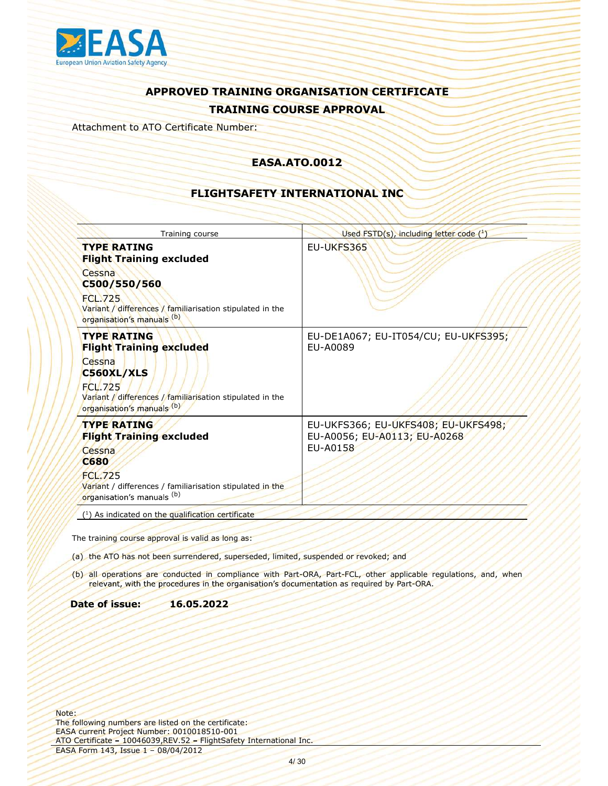

Attachment to ATO Certificate Number:

### EASA.ATO.0012

### FLIGHTSAFETY INTERNATIONAL INC

| EU-UKFS365<br><b>TYPE RATING</b><br><b>Flight Training excluded</b><br>Cessna<br>C500/550/560<br><b>FCL.725</b><br>Variant / differences / familiarisation stipulated in the<br>organisation's manuals (b)<br><b>TYPE RATING</b><br>EU-DE1A067; EU-IT054/CU; EU-UKFS395;<br>EU-A0089<br><b>Flight Training excluded</b><br>Cessna<br>C560XL/XLS<br><b>FCL.725</b><br>Variant / differences / familiarisation stipulated in the<br>organisation's manuals (b)<br>EU-UKFS366; EU-UKFS408; EU-UKFS498;<br><b>TYPE RATING</b><br><b>Flight Training excluded</b><br>EU-A0056; EU-A0113; EU-A0268<br>EU-A0158<br>Cessna<br><b>C680</b><br><b>FCL.725</b><br>Variant / differences / familiarisation stipulated in the<br>organisation's manuals (b)<br>(1) As indicated on the qualification certificate<br>relevant, with the procedures in the organisation's documentation as required by Part-ORA.<br>16.05.2022<br>4/30 | Training course | Used FSTD(s), including letter code (1) |
|-------------------------------------------------------------------------------------------------------------------------------------------------------------------------------------------------------------------------------------------------------------------------------------------------------------------------------------------------------------------------------------------------------------------------------------------------------------------------------------------------------------------------------------------------------------------------------------------------------------------------------------------------------------------------------------------------------------------------------------------------------------------------------------------------------------------------------------------------------------------------------------------------------------------------|-----------------|-----------------------------------------|
|                                                                                                                                                                                                                                                                                                                                                                                                                                                                                                                                                                                                                                                                                                                                                                                                                                                                                                                         |                 |                                         |
|                                                                                                                                                                                                                                                                                                                                                                                                                                                                                                                                                                                                                                                                                                                                                                                                                                                                                                                         |                 |                                         |
|                                                                                                                                                                                                                                                                                                                                                                                                                                                                                                                                                                                                                                                                                                                                                                                                                                                                                                                         |                 |                                         |
|                                                                                                                                                                                                                                                                                                                                                                                                                                                                                                                                                                                                                                                                                                                                                                                                                                                                                                                         |                 |                                         |
| The training course approval is valid as long as:<br>(a) the ATO has not been surrendered, superseded, limited, suspended or revoked; and<br>(b) all operations are conducted in compliance with Part-ORA, Part-FCL, other applicable regulations, and, when<br>Date of issue:<br>following numbers are listed on the certificate:<br>A current Project Number: 0010018510-001<br>Certificate - 10046039, REV.52 - FlightSafety International Inc.<br>4 Form 143, Issue 1 - 08/04/2012                                                                                                                                                                                                                                                                                                                                                                                                                                  |                 |                                         |
|                                                                                                                                                                                                                                                                                                                                                                                                                                                                                                                                                                                                                                                                                                                                                                                                                                                                                                                         |                 |                                         |
|                                                                                                                                                                                                                                                                                                                                                                                                                                                                                                                                                                                                                                                                                                                                                                                                                                                                                                                         |                 |                                         |
|                                                                                                                                                                                                                                                                                                                                                                                                                                                                                                                                                                                                                                                                                                                                                                                                                                                                                                                         |                 |                                         |
|                                                                                                                                                                                                                                                                                                                                                                                                                                                                                                                                                                                                                                                                                                                                                                                                                                                                                                                         |                 |                                         |
|                                                                                                                                                                                                                                                                                                                                                                                                                                                                                                                                                                                                                                                                                                                                                                                                                                                                                                                         |                 |                                         |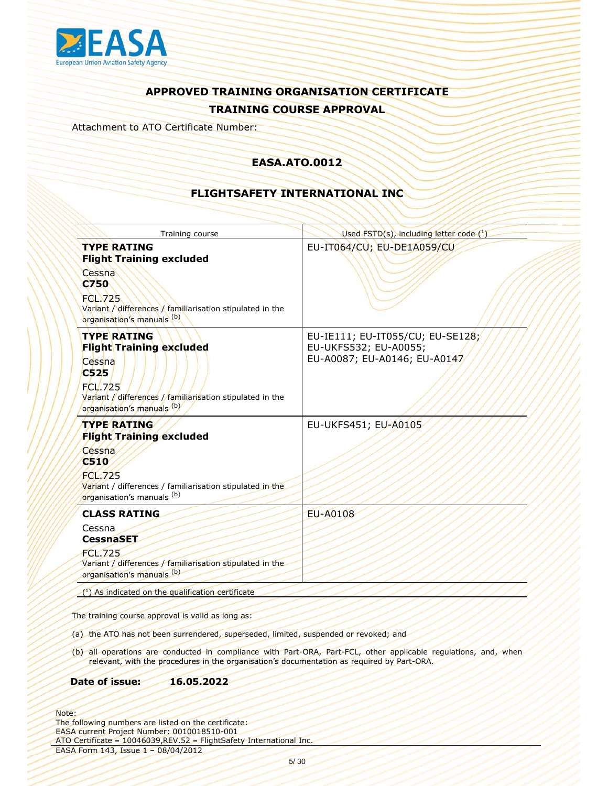

Attachment to ATO Certificate Number:

### EASA.ATO.0012

### FLIGHTSAFETY INTERNATIONAL INC

| EU-IT064/CU; EU-DE1A059/CU<br><b>TYPE RATING</b><br><b>Flight Training excluded</b><br>Cessna<br><b>C750</b><br><b>FCL.725</b><br>Variant / differences / familiarisation stipulated in the<br>organisation's manuals (b)<br><b>TYPE RATING</b><br>EU-IE111; EU-IT055/CU; EU-SE128;<br>EU-UKFS532; EU-A0055;<br><b>Flight Training excluded</b><br>EU-A0087; EU-A0146; EU-A0147<br>Cessna<br>C525<br><b>FCL.725</b><br>Variant / differences / familiarisation stipulated in the<br>organisation's manuals (b)<br><b>TYPE RATING</b><br>EU-UKFS451; EU-A0105<br><b>Flight Training excluded</b><br>Cessna<br><b>C510</b><br><b>FCL.725</b><br>Variant / differences / familiarisation stipulated in the<br>organisation's manuals (b)<br><b>EU-A0108</b><br><b>CLASS RATING</b><br>Cessna<br><b>CessnaSET</b><br><b>FCL.725</b><br>Variant / differences / familiarisation stipulated in the<br>organisation's manuals (b)<br>$(1)$ As indicated on the qualification certificate<br>relevant, with the procedures in the organisation's documentation as required by Part-ORA.<br>16.05.2022<br>5/30 | Training course | Used FSTD(s), including letter code (1) |
|-------------------------------------------------------------------------------------------------------------------------------------------------------------------------------------------------------------------------------------------------------------------------------------------------------------------------------------------------------------------------------------------------------------------------------------------------------------------------------------------------------------------------------------------------------------------------------------------------------------------------------------------------------------------------------------------------------------------------------------------------------------------------------------------------------------------------------------------------------------------------------------------------------------------------------------------------------------------------------------------------------------------------------------------------------------------------------------------------------|-----------------|-----------------------------------------|
|                                                                                                                                                                                                                                                                                                                                                                                                                                                                                                                                                                                                                                                                                                                                                                                                                                                                                                                                                                                                                                                                                                       |                 |                                         |
|                                                                                                                                                                                                                                                                                                                                                                                                                                                                                                                                                                                                                                                                                                                                                                                                                                                                                                                                                                                                                                                                                                       |                 |                                         |
|                                                                                                                                                                                                                                                                                                                                                                                                                                                                                                                                                                                                                                                                                                                                                                                                                                                                                                                                                                                                                                                                                                       |                 |                                         |
|                                                                                                                                                                                                                                                                                                                                                                                                                                                                                                                                                                                                                                                                                                                                                                                                                                                                                                                                                                                                                                                                                                       |                 |                                         |
| The training course approval is valid as long as:<br>(a) the ATO has not been surrendered, superseded, limited, suspended or revoked; and<br>(b) all operations are conducted in compliance with Part-ORA, Part-FCL, other applicable regulations, and, when<br>Date of issue:<br>following numbers are listed on the certificate:<br>A current Project Number: 0010018510-001<br>Certificate - 10046039, REV.52 - FlightSafety International Inc.<br>4 Form 143, Issue 1 - 08/04/2012                                                                                                                                                                                                                                                                                                                                                                                                                                                                                                                                                                                                                |                 |                                         |
|                                                                                                                                                                                                                                                                                                                                                                                                                                                                                                                                                                                                                                                                                                                                                                                                                                                                                                                                                                                                                                                                                                       |                 |                                         |
|                                                                                                                                                                                                                                                                                                                                                                                                                                                                                                                                                                                                                                                                                                                                                                                                                                                                                                                                                                                                                                                                                                       |                 |                                         |
|                                                                                                                                                                                                                                                                                                                                                                                                                                                                                                                                                                                                                                                                                                                                                                                                                                                                                                                                                                                                                                                                                                       |                 |                                         |
|                                                                                                                                                                                                                                                                                                                                                                                                                                                                                                                                                                                                                                                                                                                                                                                                                                                                                                                                                                                                                                                                                                       |                 |                                         |
|                                                                                                                                                                                                                                                                                                                                                                                                                                                                                                                                                                                                                                                                                                                                                                                                                                                                                                                                                                                                                                                                                                       |                 |                                         |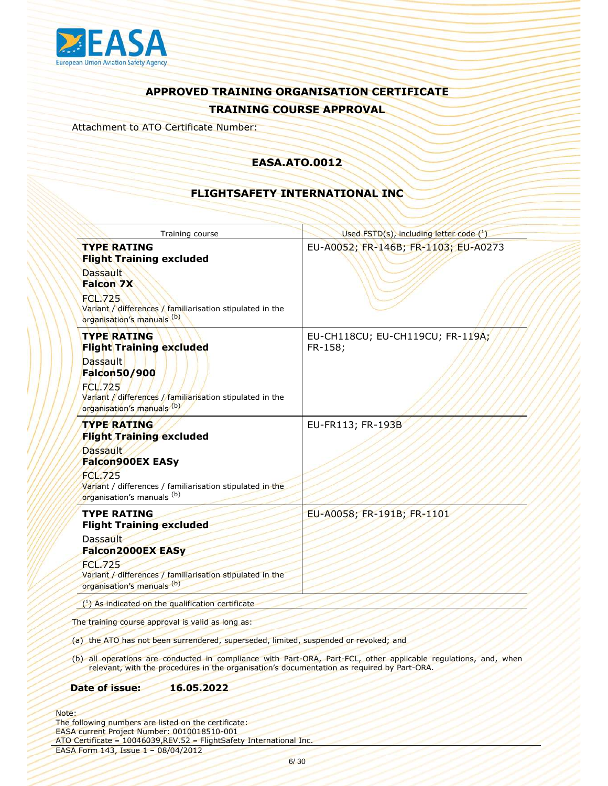

Attachment to ATO Certificate Number:

### EASA.ATO.0012

### FLIGHTSAFETY INTERNATIONAL INC

| Training course                                                                                                                                                                                                  | Used FSTD(s), including letter code (1) |
|------------------------------------------------------------------------------------------------------------------------------------------------------------------------------------------------------------------|-----------------------------------------|
| <b>TYPE RATING</b><br><b>Flight Training excluded</b><br><b>Dassault</b><br><b>Falcon 7X</b><br><b>FCL.725</b>                                                                                                   | EU-A0052; FR-146B; FR-1103; EU-A0273    |
| Variant / differences / familiarisation stipulated in the<br>organisation's manuals (b)                                                                                                                          |                                         |
| <b>TYPE RATING</b><br><b>Flight Training excluded</b><br>FR-158;<br><b>Dassault</b><br>Falcon50/900<br><b>FCL.725</b><br>Variant / differences / familiarisation stipulated in the<br>organisation's manuals (b) | EU-CH118CU; EU-CH119CU; FR-119A;        |
| <b>TYPE RATING</b><br><b>Flight Training excluded</b><br><b>Dassault</b><br>Falcon900EX EASy<br><b>FCL.725</b><br>Variant / differences / familiarisation stipulated in the<br>organisation's manuals (b)        | EU-FR113; FR-193B                       |
| <b>TYPE RATING</b><br><b>Flight Training excluded</b>                                                                                                                                                            | EU-A0058; FR-191B; FR-1101              |
| Dassault<br><b>Falcon2000EX EASy</b><br><b>FCL.725</b><br>Variant / differences / familiarisation stipulated in the<br>organisation's manuals (b)                                                                |                                         |
| $(1)$ As indicated on the qualification certificate                                                                                                                                                              |                                         |
| The training course approval is valid as long as:                                                                                                                                                                |                                         |
| (a) the ATO has not been surrendered, superseded, limited, suspended or revoked; and                                                                                                                             |                                         |
| (b) all operations are conducted in compliance with Part-ORA, Part-FCL, other applicable regulations, and, when<br>relevant, with the procedures in the organisation's documentation as required by Part-ORA.    |                                         |
| Date of issue:<br>16.05.2022                                                                                                                                                                                     |                                         |
| following numbers are listed on the certificate:<br>A current Project Number: 0010018510-001<br>Certificate - 10046039, REV.52 - FlightSafety International Inc.                                                 |                                         |
| 4 Form 143, Issue 1 - 08/04/2012<br>6/30                                                                                                                                                                         |                                         |
|                                                                                                                                                                                                                  |                                         |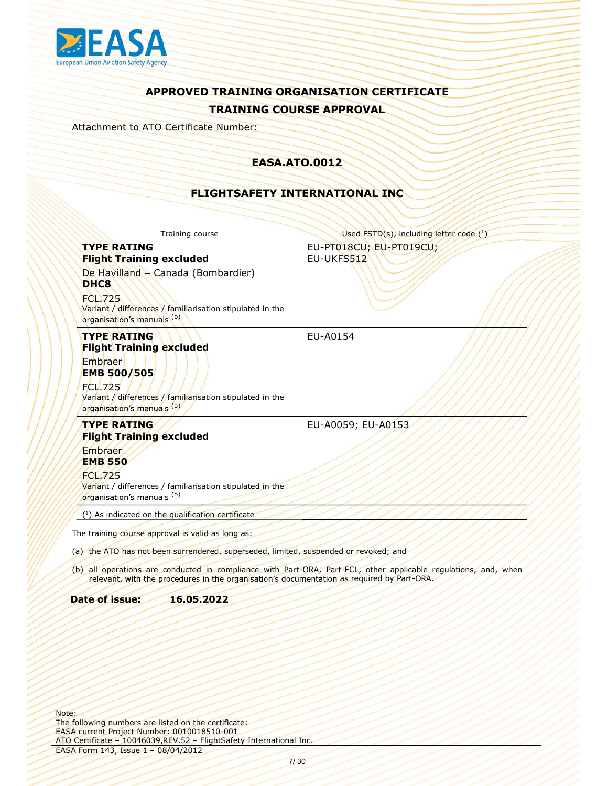

Attachment to ATO Certificate Number:

### EASA.ATO.0012

### FLIGHTSAFETY INTERNATIONAL INC

| Training course                                                                                           | Used FSTD(s), including letter code (1)                                                                         |
|-----------------------------------------------------------------------------------------------------------|-----------------------------------------------------------------------------------------------------------------|
| <b>TYPE RATING</b><br><b>Flight Training excluded</b>                                                     | EU-PT018CU; EU-PT019CU;<br>EU-UKFS512                                                                           |
| De Havilland - Canada (Bombardier)<br>DHC8<br><b>FCL.725</b>                                              |                                                                                                                 |
| Variant / differences / familiarisation stipulated in the<br>organisation's manuals (b)                   |                                                                                                                 |
| <b>TYPE RATING</b><br><b>Flight Training excluded</b>                                                     | EU-A0154                                                                                                        |
| Embraer<br><b>EMB 500/505</b><br><b>FCL.725</b>                                                           |                                                                                                                 |
| Variant / differences / familiarisation stipulated in the<br>organisation's manuals (b)                   |                                                                                                                 |
| <b>TYPE RATING</b><br><b>Flight Training excluded</b>                                                     | EU-A0059; EU-A0153                                                                                              |
| Embraer<br><b>EMB 550</b>                                                                                 |                                                                                                                 |
| <b>FCL.725</b><br>Variant / differences / familiarisation stipulated in the<br>organisation's manuals (b) |                                                                                                                 |
| (1) As indicated on the qualification certificate                                                         |                                                                                                                 |
| The training course approval is valid as long as:                                                         |                                                                                                                 |
| (a) the ATO has not been surrendered, superseded, limited, suspended or revoked; and                      |                                                                                                                 |
| relevant, with the procedures in the organisation's documentation as required by Part-ORA.                | (b) all operations are conducted in compliance with Part-ORA, Part-FCL, other applicable regulations, and, when |
| Date of issue:<br>16.05.2022                                                                              |                                                                                                                 |
|                                                                                                           |                                                                                                                 |
|                                                                                                           |                                                                                                                 |
|                                                                                                           |                                                                                                                 |
|                                                                                                           |                                                                                                                 |
|                                                                                                           |                                                                                                                 |
| following numbers are listed on the certificate:<br>A current Project Number: 0010018510-001              |                                                                                                                 |
| Certificate - 10046039, REV.52 - FlightSafety International Inc.<br>A Form 143, Issue 1 - 08/04/2012      |                                                                                                                 |
|                                                                                                           | 7/30                                                                                                            |
|                                                                                                           |                                                                                                                 |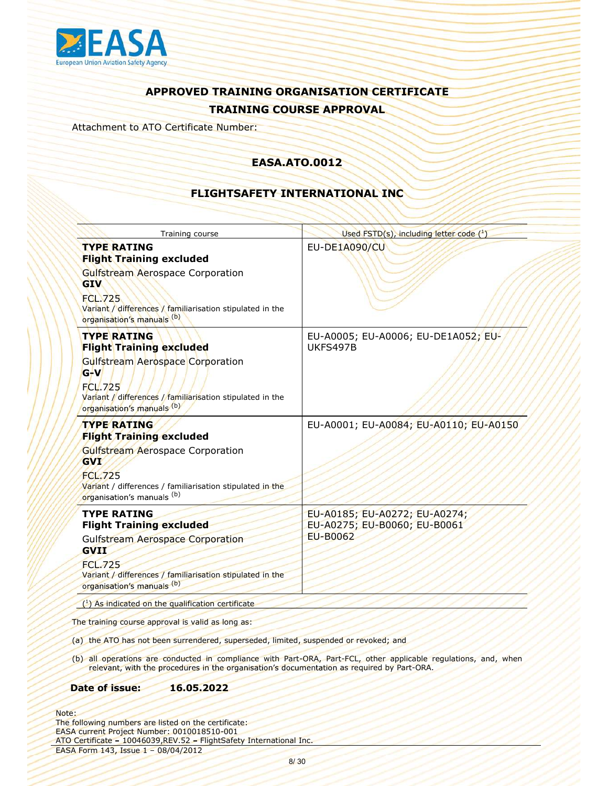

Attachment to ATO Certificate Number:

### EASA.ATO.0012

### FLIGHTSAFETY INTERNATIONAL INC

| <b>EU-DE1A090/CU</b><br><b>TYPE RATING</b><br><b>Flight Training excluded</b><br><b>Gulfstream Aerospace Corporation</b><br><b>GIV</b><br><b>FCL.725</b><br>Variant / differences / familiarisation stipulated in the<br>organisation's manuals (b)<br><b>TYPE RATING</b><br>EU-A0005; EU-A0006; EU-DE1A052; EU- |  |
|------------------------------------------------------------------------------------------------------------------------------------------------------------------------------------------------------------------------------------------------------------------------------------------------------------------|--|
|                                                                                                                                                                                                                                                                                                                  |  |
|                                                                                                                                                                                                                                                                                                                  |  |
| <b>Flight Training excluded</b><br>UKFS497B<br>Gulfstream Aerospace Corporation<br>$G-V$<br><b>FCL.725</b><br>Variant / differences / familiarisation stipulated in the<br>organisation's manuals (b)                                                                                                            |  |
| <b>TYPE RATING</b><br>EU-A0001; EU-A0084; EU-A0110; EU-A0150<br><b>Flight Training excluded</b><br>Gulfstream Aerospace Corporation<br><b>GVI</b><br><b>FCL.725</b><br>Variant / differences / familiarisation stipulated in the<br>organisation's manuals (b)                                                   |  |
| <b>TYPE RATING</b><br>EU-A0185; EU-A0272; EU-A0274;<br>EU-A0275; EU-B0060; EU-B0061<br><b>Flight Training excluded</b><br><b>EU-B0062</b><br><b>Gulfstream Aerospace Corporation</b><br><b>GVII</b><br><b>FCL.725</b><br>Variant / differences / familiarisation stipulated in the<br>organisation's manuals (b) |  |
| (1) As indicated on the qualification certificate                                                                                                                                                                                                                                                                |  |
| The training course approval is valid as long as:                                                                                                                                                                                                                                                                |  |
| (a) the ATO has not been surrendered, superseded, limited, suspended or revoked; and                                                                                                                                                                                                                             |  |
| (b) all operations are conducted in compliance with Part-ORA, Part-FCL, other applicable regulations, and, when<br>relevant, with the procedures in the organisation's documentation as required by Part-ORA.                                                                                                    |  |
| 16.05.2022<br>Date of issue:                                                                                                                                                                                                                                                                                     |  |
| following numbers are listed on the certificate:<br>A current Project Number: 0010018510-001<br>Certificate - 10046039, REV.52 - FlightSafety International Inc.                                                                                                                                                 |  |
| 4 Form 143, Issue 1 - 08/04/2012<br>8/30                                                                                                                                                                                                                                                                         |  |
|                                                                                                                                                                                                                                                                                                                  |  |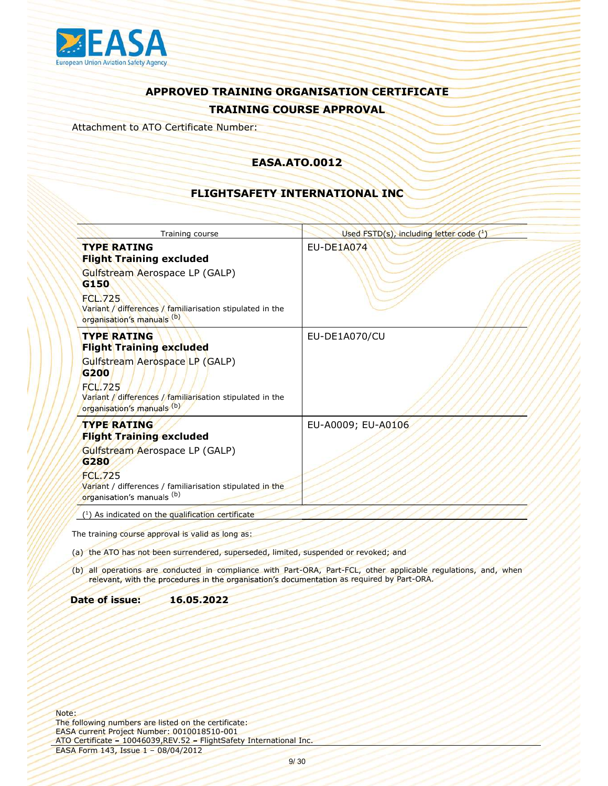

Attachment to ATO Certificate Number:

### EASA.ATO.0012

### FLIGHTSAFETY INTERNATIONAL INC

| Training course                                                                                                                                                                                                          | Used $\overline{\text{FSTD}(s)}$ , including letter code $(^1)$                                                 |
|--------------------------------------------------------------------------------------------------------------------------------------------------------------------------------------------------------------------------|-----------------------------------------------------------------------------------------------------------------|
| <b>TYPE RATING</b><br><b>Flight Training excluded</b><br>Gulfstream Aerospace LP (GALP)<br>G150<br><b>FCL.725</b><br>Variant / differences / familiarisation stipulated in the                                           | <b>EU-DE1A074</b>                                                                                               |
| organisation's manuals (b)                                                                                                                                                                                               |                                                                                                                 |
| <b>TYPE RATING</b><br><b>Flight Training excluded</b><br>Gulfstream Aerospace LP (GALP)<br>G <sub>200</sub><br><b>FCL.725</b><br>Variant / differences / familiarisation stipulated in the<br>organisation's manuals (b) | EU-DE1A070/CU                                                                                                   |
| <b>TYPE RATING</b><br><b>Flight Training excluded</b>                                                                                                                                                                    | EU-A0009; EU-A0106                                                                                              |
| Gulfstream Aerospace LP (GALP)<br>G280<br><b>FCL.725</b><br>Variant / differences / familiarisation stipulated in the<br>organisation's manuals (b)                                                                      |                                                                                                                 |
| (1) As indicated on the qualification certificate                                                                                                                                                                        |                                                                                                                 |
| The training course approval is valid as long as:                                                                                                                                                                        |                                                                                                                 |
| (a) the ATO has not been surrendered, superseded, limited, suspended or revoked; and                                                                                                                                     |                                                                                                                 |
| relevant, with the procedures in the organisation's documentation as required by Part-ORA.                                                                                                                               | (b) all operations are conducted in compliance with Part-ORA, Part-FCL, other applicable regulations, and, when |
| Date of issue:<br>16.05.2022                                                                                                                                                                                             |                                                                                                                 |
|                                                                                                                                                                                                                          |                                                                                                                 |
| following numbers are listed on the certificate:<br>A current Project Number: 0010018510-001<br>Certificate - 10046039, REV.52 - FlightSafety International Inc.                                                         |                                                                                                                 |
| 4 Form 143, Issue 1 - 08/04/2012<br>9/30                                                                                                                                                                                 |                                                                                                                 |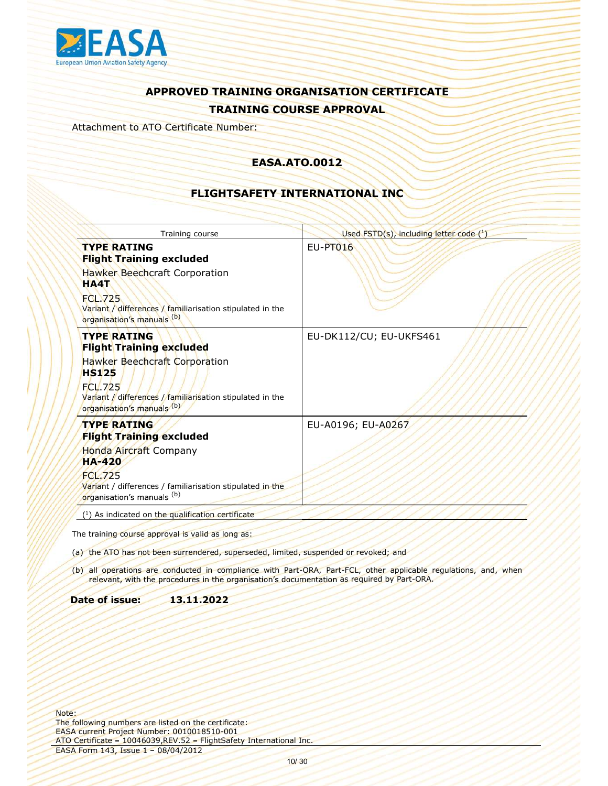

Attachment to ATO Certificate Number:

### EASA.ATO.0012

### FLIGHTSAFETY INTERNATIONAL INC

| Training course                                                                                                                                                  | Used FSTD(s), including letter code (1)                                                                         |
|------------------------------------------------------------------------------------------------------------------------------------------------------------------|-----------------------------------------------------------------------------------------------------------------|
| <b>TYPE RATING</b><br><b>Flight Training excluded</b>                                                                                                            | <b>EU-PT016</b>                                                                                                 |
| <b>Hawker Beechcraft Corporation</b><br><b>HA4T</b>                                                                                                              |                                                                                                                 |
| <b>FCL.725</b><br>Variant / differences / familiarisation stipulated in the<br>organisation's manuals (b)                                                        |                                                                                                                 |
| <b>TYPE RATING</b><br><b>Flight Training excluded</b>                                                                                                            | EU-DK112/CU; EU-UKFS461                                                                                         |
| Hawker Beechcraft Corporation<br><b>HS125</b><br><b>FCL.725</b><br>Variant / differences / familiarisation stipulated in the<br>organisation's manuals (b)       |                                                                                                                 |
| <b>TYPE RATING</b><br><b>Flight Training excluded</b>                                                                                                            | EU-A0196; EU-A0267                                                                                              |
| Honda Aircraft Company<br><b>HA-420</b>                                                                                                                          |                                                                                                                 |
| <b>FCL.725</b><br>Variant / differences / familiarisation stipulated in the<br>organisation's manuals (b)                                                        |                                                                                                                 |
| (1) As indicated on the qualification certificate                                                                                                                |                                                                                                                 |
| The training course approval is valid as long as:                                                                                                                |                                                                                                                 |
| (a) the ATO has not been surrendered, superseded, limited, suspended or revoked; and                                                                             |                                                                                                                 |
| relevant, with the procedures in the organisation's documentation as required by Part-ORA.                                                                       | (b) all operations are conducted in compliance with Part-ORA, Part-FCL, other applicable regulations, and, when |
| Date of issue:<br>13.11.2022                                                                                                                                     |                                                                                                                 |
|                                                                                                                                                                  |                                                                                                                 |
|                                                                                                                                                                  |                                                                                                                 |
|                                                                                                                                                                  |                                                                                                                 |
|                                                                                                                                                                  |                                                                                                                 |
|                                                                                                                                                                  |                                                                                                                 |
| following numbers are listed on the certificate:<br>A current Project Number: 0010018510-001<br>Certificate - 10046039, REV.52 - FlightSafety International Inc. |                                                                                                                 |
| 4 Form 143, Issue 1 - 08/04/2012                                                                                                                                 | 10/30                                                                                                           |
|                                                                                                                                                                  |                                                                                                                 |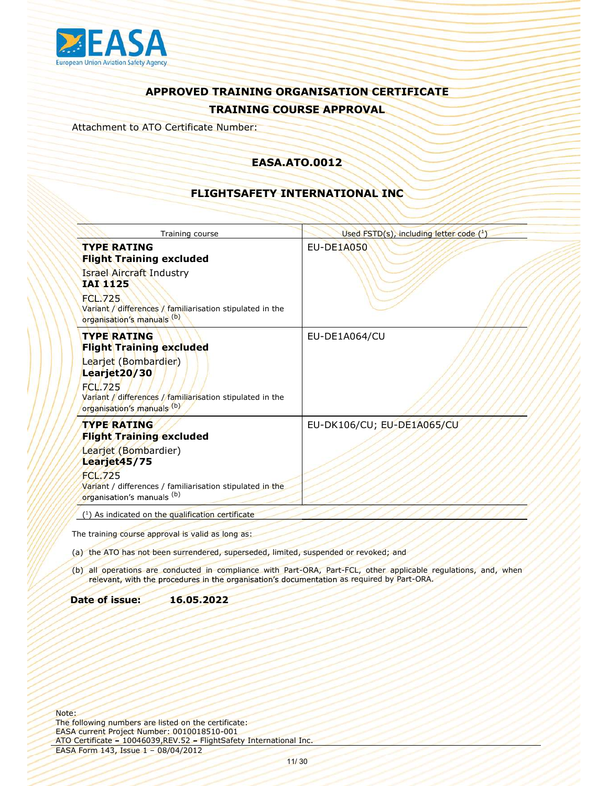

Attachment to ATO Certificate Number:

### EASA.ATO.0012

### FLIGHTSAFETY INTERNATIONAL INC

| Training course                                                                                                                                                  | Used FSTD(s), including letter code (1)                                                                         |
|------------------------------------------------------------------------------------------------------------------------------------------------------------------|-----------------------------------------------------------------------------------------------------------------|
| <b>TYPE RATING</b><br><b>Flight Training excluded</b>                                                                                                            | <b>EU-DE1A050</b>                                                                                               |
| <b>Israel Aircraft Industry</b><br><b>IAI 1125</b>                                                                                                               |                                                                                                                 |
| <b>FCL.725</b><br>Variant / differences / familiarisation stipulated in the                                                                                      |                                                                                                                 |
| organisation's manuals (b)<br><b>TYPE RATING</b><br><b>Flight Training excluded</b>                                                                              | EU-DE1A064/CU                                                                                                   |
| Learjet (Bombardier)<br>Learjet20/30<br><b>FCL.725</b>                                                                                                           |                                                                                                                 |
| Variant / differences / familiarisation stipulated in the<br>organisation's manuals (b)                                                                          |                                                                                                                 |
| <b>TYPE RATING</b><br><b>Flight Training excluded</b>                                                                                                            | EU-DK106/CU; EU-DE1A065/CU                                                                                      |
| Learjet (Bombardier)<br>Learjet45/75                                                                                                                             |                                                                                                                 |
| <b>FCL.725</b><br>Variant / differences / familiarisation stipulated in the<br>organisation's manuals (b)                                                        |                                                                                                                 |
| (1) As indicated on the qualification certificate                                                                                                                |                                                                                                                 |
| The training course approval is valid as long as:                                                                                                                |                                                                                                                 |
| (a) the ATO has not been surrendered, superseded, limited, suspended or revoked; and                                                                             |                                                                                                                 |
| relevant, with the procedures in the organisation's documentation as required by Part-ORA.                                                                       | (b) all operations are conducted in compliance with Part-ORA, Part-FCL, other applicable regulations, and, when |
| Date of issue:<br>16.05.2022                                                                                                                                     |                                                                                                                 |
|                                                                                                                                                                  |                                                                                                                 |
|                                                                                                                                                                  |                                                                                                                 |
|                                                                                                                                                                  |                                                                                                                 |
|                                                                                                                                                                  |                                                                                                                 |
|                                                                                                                                                                  |                                                                                                                 |
|                                                                                                                                                                  |                                                                                                                 |
| following numbers are listed on the certificate:<br>A current Project Number: 0010018510-001<br>Certificate - 10046039, REV.52 - FlightSafety International Inc. |                                                                                                                 |
| A Form 143, Issue 1 - 08/04/2012                                                                                                                                 | 11/30                                                                                                           |
|                                                                                                                                                                  |                                                                                                                 |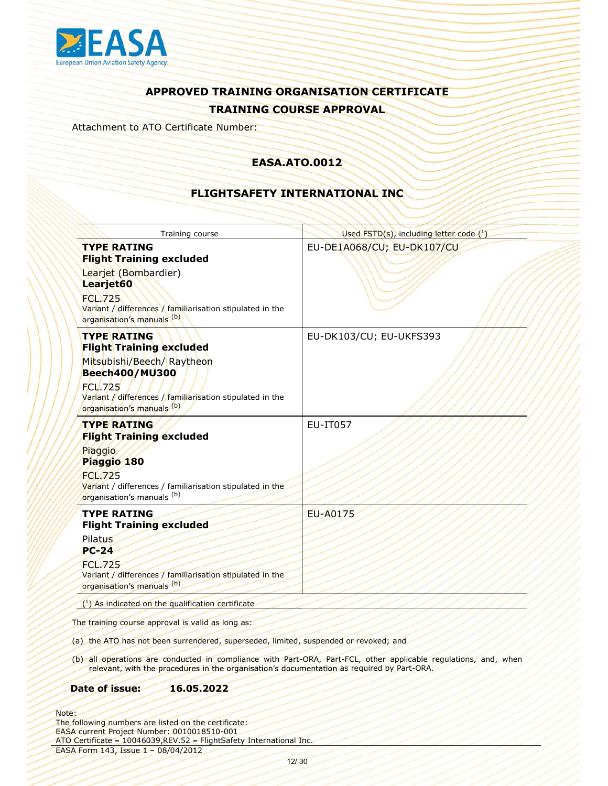

Attachment to ATO Certificate Number:

### EASA.ATO.0012

### FLIGHTSAFETY INTERNATIONAL INC

| EU-DE1A068/CU; EU-DK107/CU<br><b>TYPE RATING</b><br><b>Flight Training excluded</b><br>Learjet (Bombardier)<br>Learjet60<br><b>FCL.725</b><br>Variant / differences / familiarisation stipulated in the<br>organisation's manuals (b)<br><b>TYPE RATING</b><br>EU-DK103/CU; EU-UKFS393<br><b>Flight Training excluded</b><br>Mitsubishi/Beech/ Raytheon<br><b>Beech400/MU300</b><br><b>FCL.725</b><br>Variant / differences / familiarisation stipulated in the<br>organisation's manuals (b)<br><b>TYPE RATING</b><br>EU-IT057<br><b>Flight Training excluded</b><br>Piaggio<br>Piaggio 180<br><b>FCL.725</b><br>Variant / differences / familiarisation stipulated in the<br>organisation's manuals (b)<br><b>TYPE RATING</b><br><b>EU-A0175</b><br><b>Flight Training excluded</b><br><b>Pilatus</b><br>$PC-24$<br><b>FCL.725</b><br>Variant / differences / familiarisation stipulated in the<br>organisation's manuals (b)<br>$(1)$ As indicated on the qualification certificate<br>relevant, with the procedures in the organisation's documentation as required by Part-ORA.<br>16.05.2022<br>12/30 | Training course | Used $\mathsf{FSTD}(s)$ , including letter code $(^1)$ |
|-------------------------------------------------------------------------------------------------------------------------------------------------------------------------------------------------------------------------------------------------------------------------------------------------------------------------------------------------------------------------------------------------------------------------------------------------------------------------------------------------------------------------------------------------------------------------------------------------------------------------------------------------------------------------------------------------------------------------------------------------------------------------------------------------------------------------------------------------------------------------------------------------------------------------------------------------------------------------------------------------------------------------------------------------------------------------------------------------------------|-----------------|--------------------------------------------------------|
|                                                                                                                                                                                                                                                                                                                                                                                                                                                                                                                                                                                                                                                                                                                                                                                                                                                                                                                                                                                                                                                                                                             |                 |                                                        |
|                                                                                                                                                                                                                                                                                                                                                                                                                                                                                                                                                                                                                                                                                                                                                                                                                                                                                                                                                                                                                                                                                                             |                 |                                                        |
| The training course approval is valid as long as:<br>(a) the ATO has not been surrendered, superseded, limited, suspended or revoked; and<br>(b) all operations are conducted in compliance with Part-ORA, Part-FCL, other applicable regulations, and, when<br>Date of issue:<br>following numbers are listed on the certificate:<br>A current Project Number: 0010018510-001<br>Certificate - 10046039, REV.52 - FlightSafety International Inc.<br>4 Form 143, Issue 1 - 08/04/2012                                                                                                                                                                                                                                                                                                                                                                                                                                                                                                                                                                                                                      |                 |                                                        |
|                                                                                                                                                                                                                                                                                                                                                                                                                                                                                                                                                                                                                                                                                                                                                                                                                                                                                                                                                                                                                                                                                                             |                 |                                                        |
|                                                                                                                                                                                                                                                                                                                                                                                                                                                                                                                                                                                                                                                                                                                                                                                                                                                                                                                                                                                                                                                                                                             |                 |                                                        |
|                                                                                                                                                                                                                                                                                                                                                                                                                                                                                                                                                                                                                                                                                                                                                                                                                                                                                                                                                                                                                                                                                                             |                 |                                                        |
|                                                                                                                                                                                                                                                                                                                                                                                                                                                                                                                                                                                                                                                                                                                                                                                                                                                                                                                                                                                                                                                                                                             |                 |                                                        |
|                                                                                                                                                                                                                                                                                                                                                                                                                                                                                                                                                                                                                                                                                                                                                                                                                                                                                                                                                                                                                                                                                                             |                 |                                                        |
|                                                                                                                                                                                                                                                                                                                                                                                                                                                                                                                                                                                                                                                                                                                                                                                                                                                                                                                                                                                                                                                                                                             |                 |                                                        |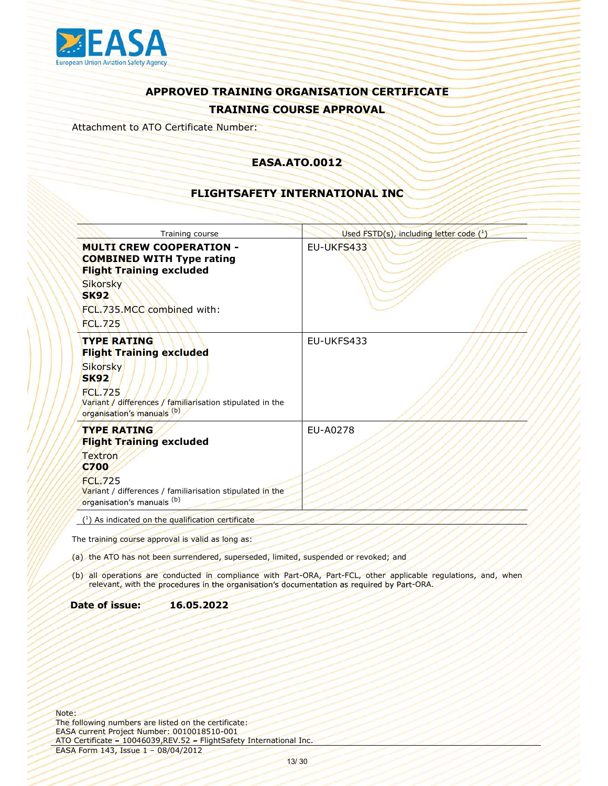

Attachment to ATO Certificate Number:

### EASA.ATO.0012

### FLIGHTSAFETY INTERNATIONAL INC

| Training course                                                                                                                                                  | Used FSTD(s), including letter code (1)                                                                         |
|------------------------------------------------------------------------------------------------------------------------------------------------------------------|-----------------------------------------------------------------------------------------------------------------|
| <b>MULTI CREW COOPERATION -</b><br><b>COMBINED WITH Type rating</b><br><b>Flight Training excluded</b>                                                           | EU-UKFS433                                                                                                      |
| <b>Sikorsky</b><br><b>SK92</b>                                                                                                                                   |                                                                                                                 |
| FCL.735.MCC combined with:<br><b>FCL.725</b>                                                                                                                     |                                                                                                                 |
| <b>TYPE RATING</b>                                                                                                                                               | EU-UKFS433                                                                                                      |
| <b>Flight Training excluded</b><br>Sikorsky                                                                                                                      |                                                                                                                 |
| <b>SK92</b><br>FCL.725<br>Variant / differences / familiarisation stipulated in the<br>organisation's manuals (b)                                                |                                                                                                                 |
| <b>TYPE RATING</b><br><b>Flight Training excluded</b>                                                                                                            | EU-A0278                                                                                                        |
| Textron<br><b>C700</b>                                                                                                                                           |                                                                                                                 |
| FCL.725<br>Variant / differences / familiarisation stipulated in the<br>organisation's manuals (b)                                                               |                                                                                                                 |
| (1) As indicated on the qualification certificate                                                                                                                |                                                                                                                 |
| The training course approval is valid as long as:                                                                                                                |                                                                                                                 |
| (a) the ATO has not been surrendered, superseded, limited, suspended or revoked; and                                                                             |                                                                                                                 |
| relevant, with the procedures in the organisation's documentation as required by Part-ORA.                                                                       | (b) all operations are conducted in compliance with Part-ORA, Part-FCL, other applicable regulations, and, when |
| Date of issue:<br>16.05.2022                                                                                                                                     |                                                                                                                 |
|                                                                                                                                                                  |                                                                                                                 |
|                                                                                                                                                                  |                                                                                                                 |
|                                                                                                                                                                  |                                                                                                                 |
|                                                                                                                                                                  |                                                                                                                 |
|                                                                                                                                                                  |                                                                                                                 |
| following numbers are listed on the certificate:<br>A current Project Number: 0010018510-001<br>Certificate - 10046039, REV.52 - FlightSafety International Inc. |                                                                                                                 |
| 4 Form 143, Issue 1 - 08/04/2012                                                                                                                                 | 13/30                                                                                                           |
|                                                                                                                                                                  |                                                                                                                 |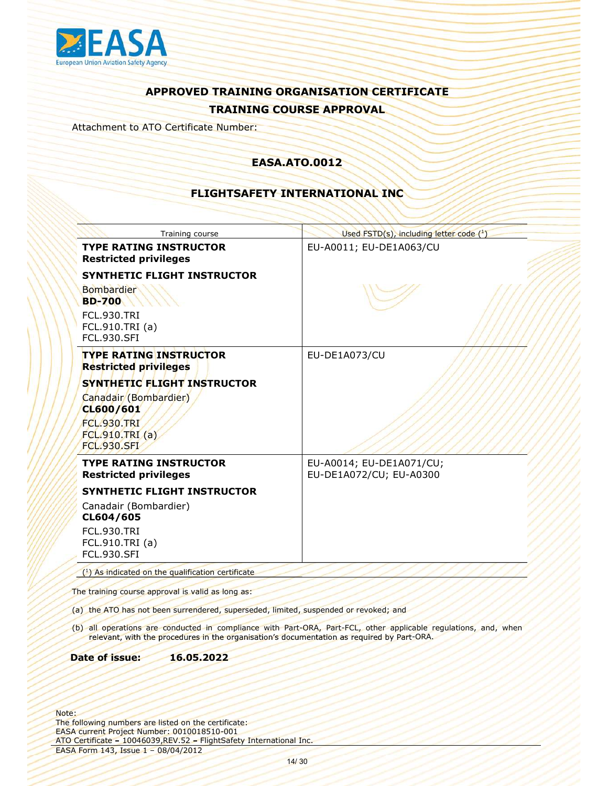

Attachment to ATO Certificate Number:

### EASA.ATO.0012

### FLIGHTSAFETY INTERNATIONAL INC

| Training course                                                                                                                                                                    | Used FSTD(s), including letter code (1)                                                                         |
|------------------------------------------------------------------------------------------------------------------------------------------------------------------------------------|-----------------------------------------------------------------------------------------------------------------|
| <b>TYPE RATING INSTRUCTOR</b><br><b>Restricted privileges</b>                                                                                                                      | EU-A0011; EU-DE1A063/CU                                                                                         |
| SYNTHETIC FLIGHT INSTRUCTOR<br><b>Bombardier</b><br><b>BD-700</b><br><b>FCL.930.TRI</b>                                                                                            |                                                                                                                 |
| FCL.910.TRI (a)<br><b>FCL.930.SFI</b>                                                                                                                                              |                                                                                                                 |
| <b>TYPE RATING INSTRUCTOR</b><br><b>Restricted privileges</b>                                                                                                                      | EU-DE1A073/CU                                                                                                   |
| SYNTHETIC FLIGHT INSTRUCTOR<br>Canadair (Bombardier)<br>CL600/601<br><b>FCL.930.TRI</b><br>FCL.910.TRI(a)<br><b>FCL.930.SFI</b>                                                    |                                                                                                                 |
| <b>TYPE RATING INSTRUCTOR</b><br><b>Restricted privileges</b>                                                                                                                      | EU-A0014; EU-DE1A071/CU;<br>EU-DE1A072/CU; EU-A0300                                                             |
| SYNTHETIC FLIGHT INSTRUCTOR<br>Canadair (Bombardier)<br>CL604/605<br><b>FCL.930.TRI</b><br>FCL.910.TRI (a)<br><b>FCL.930.SFI</b>                                                   |                                                                                                                 |
| $(1)$ As indicated on the qualification certificate                                                                                                                                |                                                                                                                 |
| The training course approval is valid as long as:                                                                                                                                  |                                                                                                                 |
| (a) the ATO has not been surrendered, superseded, limited, suspended or revoked; and<br>relevant, with the procedures in the organisation's documentation as required by Part-ORA. | (b) all operations are conducted in compliance with Part-ORA, Part-FCL, other applicable regulations, and, when |
| 16.05.2022<br>Date of issue:                                                                                                                                                       |                                                                                                                 |
| following numbers are listed on the certificate:<br>A current Project Number: 0010018510-001<br>Certificate - 10046039, REV.52 - FlightSafety International Inc.                   |                                                                                                                 |
| 4 Form 143, Issue 1 - 08/04/2012                                                                                                                                                   | 14/30                                                                                                           |
|                                                                                                                                                                                    |                                                                                                                 |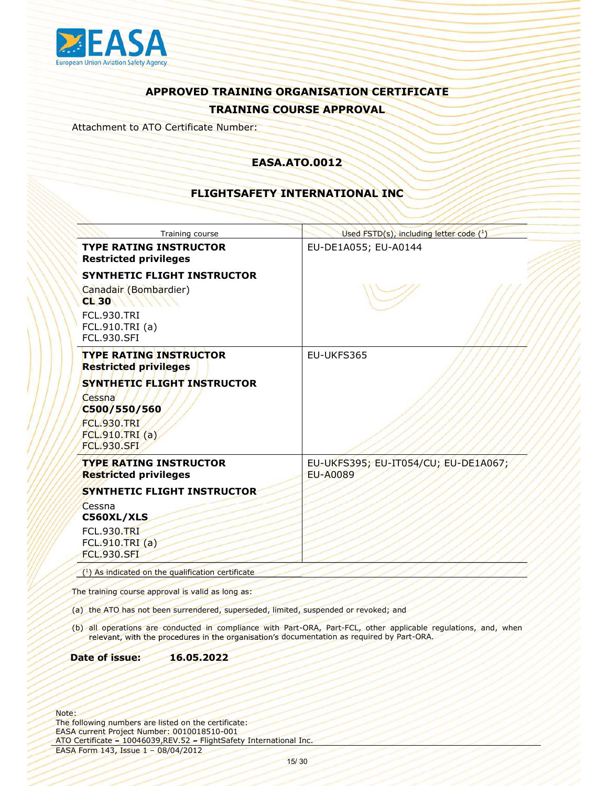

Attachment to ATO Certificate Number:

### EASA.ATO.0012

### FLIGHTSAFETY INTERNATIONAL INC

|                                                                                                                       | Training course                                                                                                                                                  | Used FSTD(s), including letter code (1)                                                                                                                                                                       |
|-----------------------------------------------------------------------------------------------------------------------|------------------------------------------------------------------------------------------------------------------------------------------------------------------|---------------------------------------------------------------------------------------------------------------------------------------------------------------------------------------------------------------|
| <b>Restricted privileges</b>                                                                                          | <b>TYPE RATING INSTRUCTOR</b>                                                                                                                                    | EU-DE1A055; EU-A0144                                                                                                                                                                                          |
| Canadair (Bombardier)<br><b>CL 30</b><br><b>FCL.930.TRI</b><br>FCL.910.TRI (a)<br><b>FCL.930.SFI</b>                  | SYNTHETIC FLIGHT INSTRUCTOR                                                                                                                                      |                                                                                                                                                                                                               |
| <b>Restricted privileges</b><br>Cessna<br>C500/550/560<br><b>FCL.930.TRI</b><br>FCL.910.TRI (a)<br><b>FCL.930.SFI</b> | <b>TYPE RATING INSTRUCTOR</b><br>SYNTHETIC FLIGHT INSTRUCTOR                                                                                                     | EU-UKFS365                                                                                                                                                                                                    |
| <b>Restricted privileges</b>                                                                                          | <b>TYPE RATING INSTRUCTOR</b>                                                                                                                                    | EU-UKFS395; EU-IT054/CU; EU-DE1A067;<br><b>EU-A0089</b>                                                                                                                                                       |
| Cessna<br>C560XL/XLS<br><b>FCL.930.TRI</b><br>FCL.910.TRI (a)<br><b>FCL.930.SFL</b>                                   | SYNTHETIC FLIGHT INSTRUCTOR                                                                                                                                      |                                                                                                                                                                                                               |
|                                                                                                                       | $(1)$ As indicated on the qualification certificate                                                                                                              |                                                                                                                                                                                                               |
| Date of issue:                                                                                                        | The training course approval is valid as long as:<br>(a) the ATO has not been surrendered, superseded, limited, suspended or revoked; and<br>16.05.2022          | (b) all operations are conducted in compliance with Part-ORA, Part-FCL, other applicable regulations, and, when<br>relevant, with the procedures in the organisation's documentation as required by Part-ORA. |
| 4 Form 143, Issue 1 - 08/04/2012                                                                                      | following numbers are listed on the certificate:<br>A current Project Number: 0010018510-001<br>Certificate - 10046039, REV.52 - FlightSafety International Inc. | 15/30                                                                                                                                                                                                         |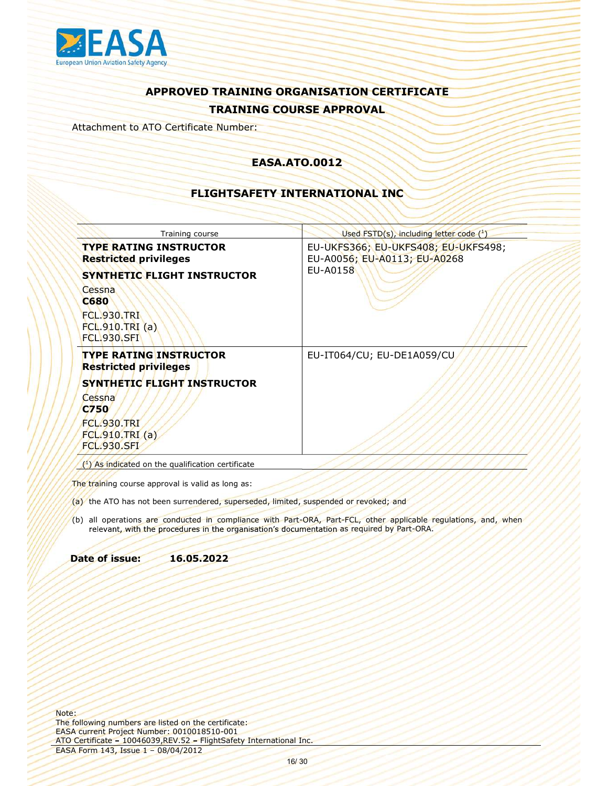

Attachment to ATO Certificate Number:

### EASA.ATO.0012

### FLIGHTSAFETY INTERNATIONAL INC

| EU-UKFS366; EU-UKFS408; EU-UKFS498;<br><b>TYPE RATING INSTRUCTOR</b><br>EU-A0056; EU-A0113; EU-A0268<br><b>Restricted privileges</b><br><b>EU-A0158</b><br><b>SYNTHETIC FLIGHT INSTRUCTOR</b><br>Cessna<br><b>C680</b><br><b>FCL.930.TRI</b><br>FCL.910.TRI(a)<br><b>FCL.930.SFI</b>                                                                       |
|------------------------------------------------------------------------------------------------------------------------------------------------------------------------------------------------------------------------------------------------------------------------------------------------------------------------------------------------------------|
|                                                                                                                                                                                                                                                                                                                                                            |
| <b>TYPE RATING INSTRUCTOR</b><br>EU-IT064/CU; EU-DE1A059/CU<br><b>Restricted privileges</b><br>SYNTHETIC FLIGHT INSTRUCTOR<br>Cessna<br><b>C750</b><br><b>FCL.930.TRI</b><br>FCL.910.TRI(a)<br><b>FCL.930.SFI</b>                                                                                                                                          |
| $(1)$ As indicated on the qualification certificate                                                                                                                                                                                                                                                                                                        |
| The training course approval is valid as long as:<br>(a) the ATO has not been surrendered, superseded, limited, suspended or revoked; and<br>(b) all operations are conducted in compliance with Part-ORA, Part-FCL, other applicable regulations, and, when<br>relevant, with the procedures in the organisation's documentation as required by Part-ORA. |

- 
- een, suspended or revoked; and<br>coumentation as required by Part-ORA, when<br>coumentation as required by Part-ORA.<br>All Inc. relevant, with the procedures in the organisation's documentation as required by Part-ORA.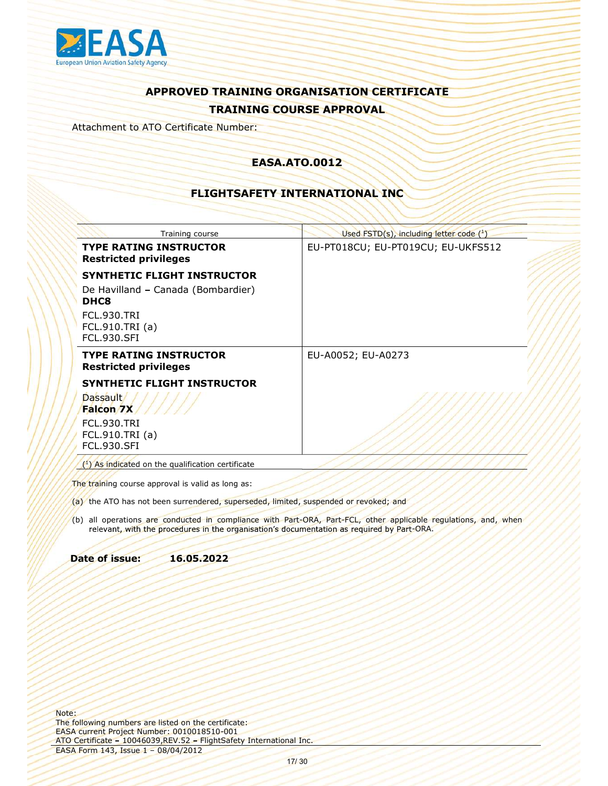

Attachment to ATO Certificate Number:

### EASA.ATO.0012

### FLIGHTSAFETY INTERNATIONAL INC

| Used FSTD(s), including letter code (1)<br>Training course                                                                                                                                                    |  |
|---------------------------------------------------------------------------------------------------------------------------------------------------------------------------------------------------------------|--|
| <b>TYPE RATING INSTRUCTOR</b><br>EU-PT018CU; EU-PT019CU; EU-UKFS512<br><b>Restricted privileges</b>                                                                                                           |  |
| <b>SYNTHETIC FLIGHT INSTRUCTOR</b>                                                                                                                                                                            |  |
| De Havilland - Canada (Bombardier)<br>DHC8                                                                                                                                                                    |  |
| <b>FCL.930.TRI</b><br>FCL.910.TRI (a)<br><b>FCL.930.SFI</b>                                                                                                                                                   |  |
| <b>TYPE RATING INSTRUCTOR</b><br>EU-A0052; EU-A0273<br><b>Restricted privileges</b>                                                                                                                           |  |
| <b>SYNTHETIC FLIGHT INSTRUCTOR</b>                                                                                                                                                                            |  |
| Dassault/<br>Falcon 7X                                                                                                                                                                                        |  |
| <b>FCL.930.TRI</b><br>FCL.910.TRI (a)<br><b>FCL.930.SFI</b>                                                                                                                                                   |  |
| $(1)$ As indicated on the qualification certificate                                                                                                                                                           |  |
| The training course approval is valid as long as:<br>(a) the ATO has not been surrendered, superseded, limited, suspended or revoked; and                                                                     |  |
| (b) all operations are conducted in compliance with Part-ORA, Part-FCL, other applicable regulations, and, when<br>relevant, with the procedures in the organisation's documentation as required by Part-ORA. |  |
| Date of issue:<br>16.05.2022                                                                                                                                                                                  |  |

- 
- ed, suspended or revoked; and<br>commentation as required by Part-ORA.<br>commentation as required by Part-ORA.<br>All Inc. relevant, with the procedures in the organisation's documentation as required by Part-ORA.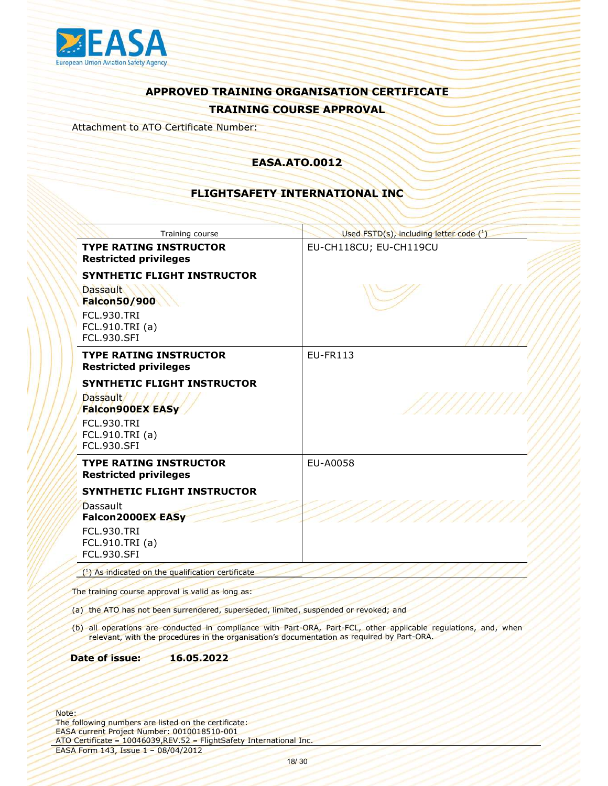

Attachment to ATO Certificate Number:

### EASA.ATO.0012

### FLIGHTSAFETY INTERNATIONAL INC

| Training course                                                                                                                                                  | Used FSTD(s), including letter code (1)                                                                         |
|------------------------------------------------------------------------------------------------------------------------------------------------------------------|-----------------------------------------------------------------------------------------------------------------|
| <b>TYPE RATING INSTRUCTOR</b><br><b>Restricted privileges</b>                                                                                                    | EU-CH118CU; EU-CH119CU                                                                                          |
| SYNTHETIC FLIGHT INSTRUCTOR<br><b>Dassault</b>                                                                                                                   |                                                                                                                 |
| <b>Falcon50/900</b><br><b>FCL.930.TRI</b><br>FCL.910.TRI (a)<br><b>FCL.930.SFI</b>                                                                               |                                                                                                                 |
| <b>TYPE RATING INSTRUCTOR</b><br><b>Restricted privileges</b>                                                                                                    | <b>EU-FR113</b>                                                                                                 |
| SYNTHETIC FLIGHT INSTRUCTOR<br>Dassault////<br><b>Falcon900EX EASy</b>                                                                                           |                                                                                                                 |
| <b>FCL.930.TRI</b><br>FCL.910.TRI (a)<br><b>FCL.930.SFI</b>                                                                                                      |                                                                                                                 |
| <b>TYPE RATING INSTRUCTOR</b><br><b>Restricted privileges</b>                                                                                                    | EU-A0058                                                                                                        |
| SYNTHETIC FLIGHT INSTRUCTOR<br>Dassault<br>Falcon2000EX EASy                                                                                                     |                                                                                                                 |
| <b>FCL.930.TRI</b><br>FCL.910.TRI (a)<br><b>FCL.930.SFI</b>                                                                                                      |                                                                                                                 |
| $(1)$ As indicated on the qualification certificate                                                                                                              |                                                                                                                 |
| The training course approval is valid as long as:                                                                                                                |                                                                                                                 |
| (a) the ATO has not been surrendered, superseded, limited, suspended or revoked; and                                                                             |                                                                                                                 |
| relevant, with the procedures in the organisation's documentation as required by Part-ORA.                                                                       | (b) all operations are conducted in compliance with Part-ORA, Part-FCL, other applicable regulations, and, when |
| 16.05.2022<br>Date of issue:                                                                                                                                     |                                                                                                                 |
|                                                                                                                                                                  |                                                                                                                 |
| following numbers are listed on the certificate:<br>A current Project Number: 0010018510-001<br>Certificate - 10046039, REV.52 - FlightSafety International Inc. |                                                                                                                 |
| 4 Form 143, Issue 1 - 08/04/2012                                                                                                                                 | 18/30                                                                                                           |
|                                                                                                                                                                  |                                                                                                                 |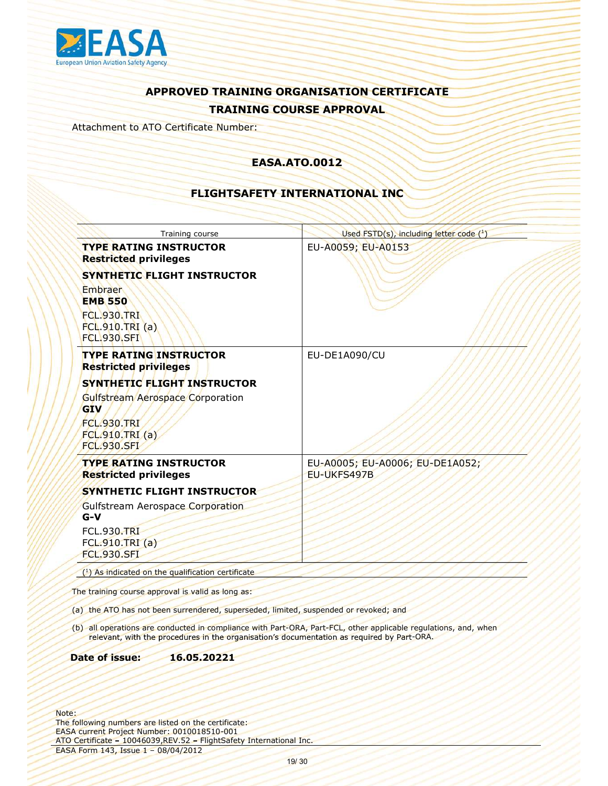

Attachment to ATO Certificate Number:

### EASA.ATO.0012

### FLIGHTSAFETY INTERNATIONAL INC

| Training course                                                                                                                                                  | Used FSTD(s), including letter code (1)                                                                         |
|------------------------------------------------------------------------------------------------------------------------------------------------------------------|-----------------------------------------------------------------------------------------------------------------|
| <b>TYPE RATING INSTRUCTOR</b><br><b>Restricted privileges</b>                                                                                                    | EU-A0059; EU-A0153                                                                                              |
| <b>SYNTHETIC FLIGHT INSTRUCTOR</b>                                                                                                                               |                                                                                                                 |
| <b>Embraer</b><br><b>EMB 550</b>                                                                                                                                 |                                                                                                                 |
| <b>FCL.930.TRI</b><br>FCL.910.TRI(a)<br><b>FCL.930.SFI</b>                                                                                                       |                                                                                                                 |
| <b>TYPE RATING INSTRUCTOR</b><br><b>Restricted privileges</b>                                                                                                    | EU-DE1A090/CU                                                                                                   |
| SYNTHETIC FLIGHT INSTRUCTOR                                                                                                                                      |                                                                                                                 |
| Gulfstream Aerospace Corporation<br><b>GIV</b><br><b>FCL.930.TRI</b><br>FCL.910.TRI (a)<br><b>FCL.930.SFI</b>                                                    |                                                                                                                 |
| <b>TYPE RATING INSTRUCTOR</b><br><b>Restricted privileges</b>                                                                                                    | EU-A0005; EU-A0006; EU-DE1A052;<br>EU-UKFS497B                                                                  |
| SYNTHETIC FLIGHT INSTRUCTOR                                                                                                                                      |                                                                                                                 |
| <b>Gulfstream Aerospace Corporation</b><br>$G-V$                                                                                                                 |                                                                                                                 |
| <b>FCL.930.TRI</b><br>FCL.910.TRI (a)<br><b>FCL.930.SFI</b>                                                                                                      |                                                                                                                 |
| $(1)$ As indicated on the qualification certificate                                                                                                              |                                                                                                                 |
| The training course approval is valid as long as:                                                                                                                |                                                                                                                 |
| (a) the ATO has not been surrendered, superseded, limited, suspended or revoked; and                                                                             |                                                                                                                 |
| relevant, with the procedures in the organisation's documentation as required by Part-ORA.                                                                       | (b) all operations are conducted in compliance with Part-ORA, Part-FCL, other applicable regulations, and, when |
| 16.05.20221<br>Date of issue:                                                                                                                                    |                                                                                                                 |
|                                                                                                                                                                  |                                                                                                                 |
| following numbers are listed on the certificate:<br>A current Project Number: 0010018510-001<br>Certificate - 10046039, REV.52 - FlightSafety International Inc. |                                                                                                                 |
| 4 Form 143, Issue 1 - 08/04/2012                                                                                                                                 | 19/30                                                                                                           |
|                                                                                                                                                                  |                                                                                                                 |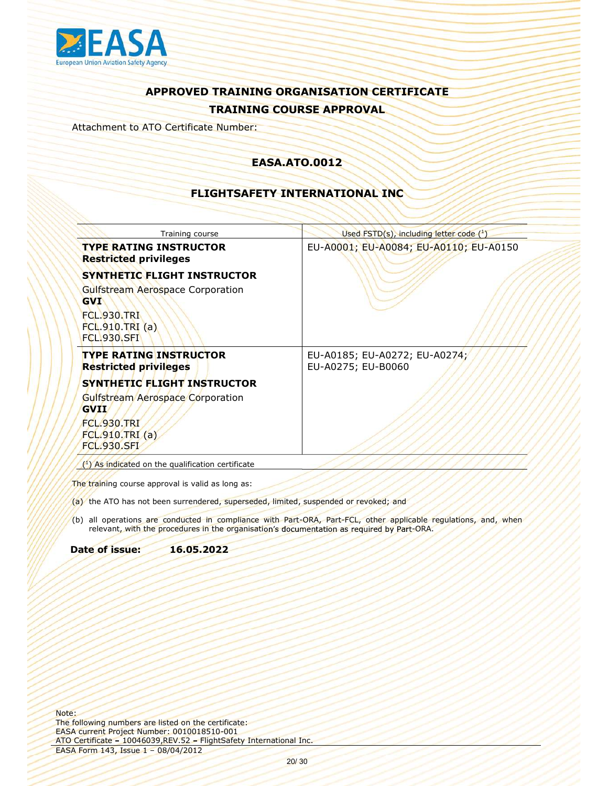

Attachment to ATO Certificate Number:

### EASA.ATO.0012

### FLIGHTSAFETY INTERNATIONAL INC

|                                                                            | Training course                                                                      | Used FSTD(s), including letter code (1)                                                                                                                                                                       |
|----------------------------------------------------------------------------|--------------------------------------------------------------------------------------|---------------------------------------------------------------------------------------------------------------------------------------------------------------------------------------------------------------|
|                                                                            | <b>TYPE RATING INSTRUCTOR</b><br><b>Restricted privileges</b>                        | EU-A0001; EU-A0084; EU-A0110; EU-A0150                                                                                                                                                                        |
|                                                                            | <b>SYNTHETIC FLIGHT INSTRUCTOR</b>                                                   |                                                                                                                                                                                                               |
| <b>GVI</b>                                                                 | Gulfstream Aerospace Corporation                                                     |                                                                                                                                                                                                               |
| <b>FCL.930.TRI</b><br><b>FCL.910.TRI (a)</b><br><b>FCL.930.SFI</b>         |                                                                                      |                                                                                                                                                                                                               |
|                                                                            | <b>TYPE RATING INSTRUCTOR</b><br><b>Restricted privileges</b>                        | EU-A0185; EU-A0272; EU-A0274;<br>EU-A0275; EU-B0060                                                                                                                                                           |
|                                                                            | SYNTHETIC FLIGHT INSTRUCTOR                                                          |                                                                                                                                                                                                               |
| <b>GVII</b><br><b>FCL.930.TRI</b><br>FCL.910.TRI (a)<br><b>FCL.930.SFI</b> | Gulfstream Aerospace Corporation                                                     |                                                                                                                                                                                                               |
|                                                                            | $(1)$ As indicated on the qualification certificate                                  |                                                                                                                                                                                                               |
|                                                                            | The training course approval is valid as long as:                                    |                                                                                                                                                                                                               |
|                                                                            | (a) the ATO has not been surrendered, superseded, limited, suspended or revoked; and |                                                                                                                                                                                                               |
|                                                                            |                                                                                      | (b) all operations are conducted in compliance with Part-ORA, Part-FCL, other applicable regulations, and, when<br>relevant, with the procedures in the organisation's documentation as required by Part-ORA. |
| Date of issue:                                                             | 16.05.2022                                                                           |                                                                                                                                                                                                               |

ed, suspended or revoked; and<br>coumentation as required by Part-ORA, when<br>coumentation as required by Part-ORA.<br><br><br>and Inc.<br>20/ 30 relevant, with the procedures in the organisation's documentation as required by Part-ORA.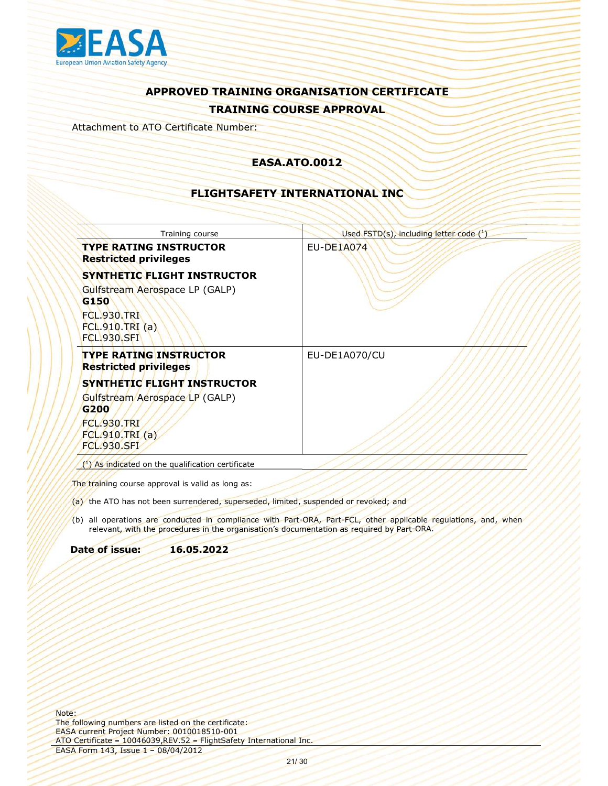

Attachment to ATO Certificate Number:

### EASA.ATO.0012

### FLIGHTSAFETY INTERNATIONAL INC

|                                                                     | Training course                                                                                                                           | Used $\mathsf{FSTD}(s)$ , including letter code $(^1)$                                                                                                                                                        |
|---------------------------------------------------------------------|-------------------------------------------------------------------------------------------------------------------------------------------|---------------------------------------------------------------------------------------------------------------------------------------------------------------------------------------------------------------|
|                                                                     | <b>TYPE RATING INSTRUCTOR</b><br><b>Restricted privileges</b>                                                                             | <b>EU-DE1A074</b>                                                                                                                                                                                             |
|                                                                     | <b>SYNTHETIC FLIGHT INSTRUCTOR</b>                                                                                                        |                                                                                                                                                                                                               |
| G150                                                                | Gulfstream Aerospace LP (GALP)                                                                                                            |                                                                                                                                                                                                               |
| <b>FCL.930.TRI</b><br>FCL.910.TRI(a)<br><b>FCL.930.SFI</b>          |                                                                                                                                           |                                                                                                                                                                                                               |
|                                                                     | <b>TYPE RATING INSTRUCTOR</b><br><b>Restricted privileges</b>                                                                             | EU-DE1A070/CU                                                                                                                                                                                                 |
|                                                                     | SYNTHETIC FLIGHT INSTRUCTOR                                                                                                               |                                                                                                                                                                                                               |
| G200<br><b>FCL.930.TRI</b><br>FCL.910.TRI (a)<br><b>FCL.930.SFI</b> | Gulfstream Aerospace LP (GALP)                                                                                                            |                                                                                                                                                                                                               |
|                                                                     | $(1)$ As indicated on the qualification certificate                                                                                       |                                                                                                                                                                                                               |
|                                                                     | The training course approval is valid as long as:<br>(a) the ATO has not been surrendered, superseded, limited, suspended or revoked; and |                                                                                                                                                                                                               |
|                                                                     |                                                                                                                                           | (b) all operations are conducted in compliance with Part-ORA, Part-FCL, other applicable regulations, and, when<br>relevant, with the procedures in the organisation's documentation as required by Part-ORA. |
| Date of issue:                                                      | 16.05.2022                                                                                                                                |                                                                                                                                                                                                               |

ed, suspended or revoked; and<br>coumentation as required by Part-ORA.<br>coumentation as required by Part-ORA.<br>All Inc.<br>and Inc. relevant, with the procedures in the organisation's documentation as required by Part-ORA.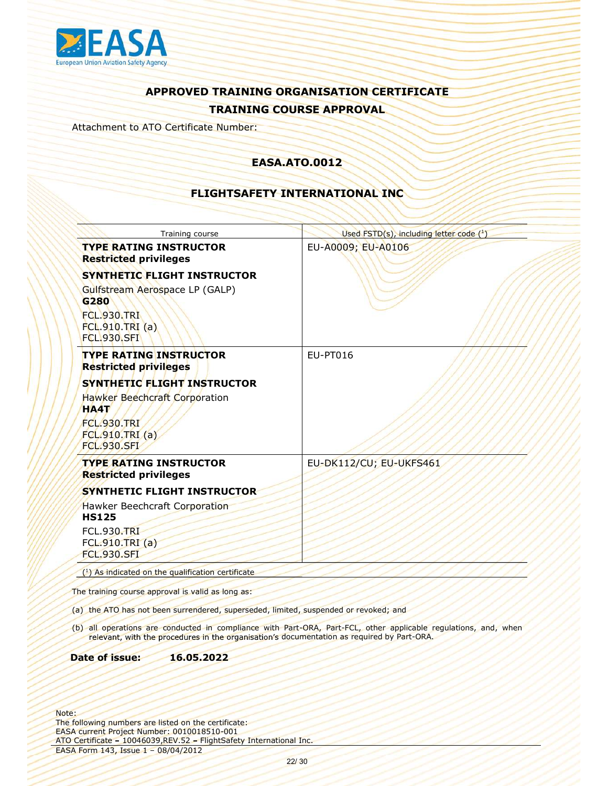

Attachment to ATO Certificate Number:

### EASA.ATO.0012

### FLIGHTSAFETY INTERNATIONAL INC

| Training course                                                                              | Used FSTD(s), including letter code (1)                                                                         |
|----------------------------------------------------------------------------------------------|-----------------------------------------------------------------------------------------------------------------|
| <b>TYPE RATING INSTRUCTOR</b><br><b>Restricted privileges</b>                                | EU-A0009; EU-A0106                                                                                              |
| <b>SYNTHETIC FLIGHT INSTRUCTOR</b>                                                           |                                                                                                                 |
| Gulfstream Aerospace LP (GALP)<br>G280                                                       |                                                                                                                 |
| <b>FCL.930.TRI</b><br>FCL.910.TRI(a)<br><b>FCL.930.SFI</b>                                   |                                                                                                                 |
| <b>TYPE RATING INSTRUCTOR</b><br><b>Restricted privileges</b>                                | EU-PT016                                                                                                        |
| SYNTHETIC FLIGHT INSTRUCTOR                                                                  |                                                                                                                 |
| Hawker Beechcraft Corporation<br><b>HA4T</b><br><b>FCL.930.TRI</b><br>FCL.910.TRI (a)        |                                                                                                                 |
| <b>FCL.930.SFI</b>                                                                           |                                                                                                                 |
| <b>TYPE RATING INSTRUCTOR</b><br><b>Restricted privileges</b>                                | EU-DK112/CU; EU-UKFS461                                                                                         |
| SYNTHETIC FLIGHT INSTRUCTOR                                                                  |                                                                                                                 |
| Hawker Beechcraft Corporation<br><b>HS125</b>                                                |                                                                                                                 |
| <b>FCL.930.TRI</b><br>FCL.910.TRI (a)                                                        |                                                                                                                 |
| <b>FCL.930.SFL</b>                                                                           |                                                                                                                 |
| $(1)$ As indicated on the qualification certificate                                          |                                                                                                                 |
| The training course approval is valid as long as:                                            |                                                                                                                 |
| (a) the ATO has not been surrendered, superseded, limited, suspended or revoked; and         |                                                                                                                 |
| relevant, with the procedures in the organisation's documentation as required by Part-ORA.   | (b) all operations are conducted in compliance with Part-ORA, Part-FCL, other applicable regulations, and, when |
| 16.05.2022<br>Date of issue:                                                                 |                                                                                                                 |
|                                                                                              |                                                                                                                 |
| following numbers are listed on the certificate:<br>A current Project Number: 0010018510-001 |                                                                                                                 |
| Certificate - 10046039, REV.52 - FlightSafety International Inc.                             |                                                                                                                 |
| 4 Form 143, Issue 1 - 08/04/2012                                                             |                                                                                                                 |
|                                                                                              | 22/30                                                                                                           |
|                                                                                              |                                                                                                                 |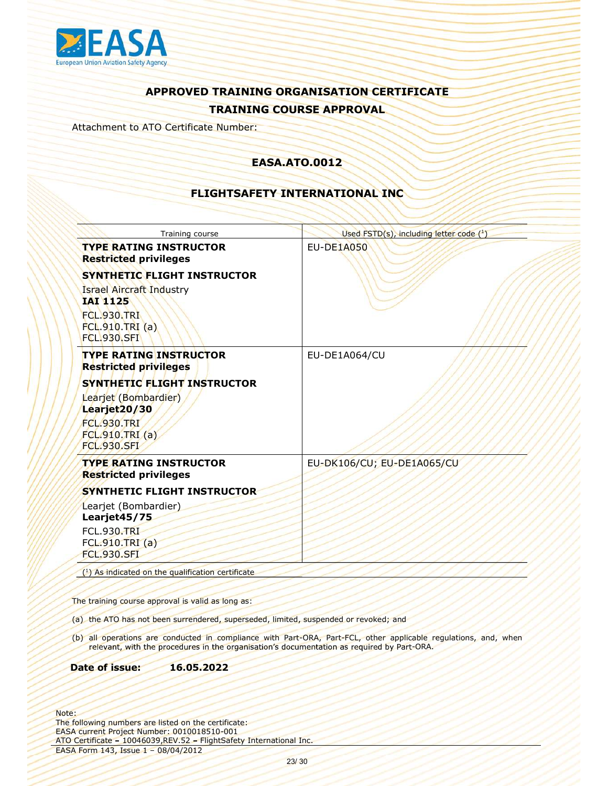

Attachment to ATO Certificate Number:

### EASA.ATO.0012

### FLIGHTSAFETY INTERNATIONAL INC

| Training course                                                                                              | Used FSTD(s), including letter code (1)                                                                         |
|--------------------------------------------------------------------------------------------------------------|-----------------------------------------------------------------------------------------------------------------|
| <b>TYPE RATING INSTRUCTOR</b><br><b>Restricted privileges</b>                                                | <b>EU-DE1A050</b>                                                                                               |
| <b>SYNTHETIC FLIGHT INSTRUCTOR</b>                                                                           |                                                                                                                 |
| <b>Israel Aircraft Industry</b><br><b>IAI 1125</b>                                                           |                                                                                                                 |
| <b>FCL.930.TRI</b><br><b>FCL.910.TRI (a)</b><br><b>FCL.930.SFI</b>                                           |                                                                                                                 |
| <b>TYPE RATING INSTRUCTOR</b><br><b>Restricted privileges</b>                                                | EU-DE1A064/CU                                                                                                   |
| SYNTHETIC FLIGHT INSTRUCTOR                                                                                  |                                                                                                                 |
| Learjet (Bombardier)                                                                                         |                                                                                                                 |
| Learjet20/30<br><b>FCL.930.TRI</b>                                                                           |                                                                                                                 |
| FCL.910.TRI (a)                                                                                              |                                                                                                                 |
| <b>FCL.930.SFI</b>                                                                                           |                                                                                                                 |
| <b>TYPE RATING INSTRUCTOR</b><br><b>Restricted privileges</b>                                                | EU-DK106/CU; EU-DE1A065/CU                                                                                      |
| SYNTHETIC FLIGHT INSTRUCTOR                                                                                  |                                                                                                                 |
| Learjet (Bombardier)<br>Learjet45/75                                                                         |                                                                                                                 |
| <b>FCL.930.TRI</b>                                                                                           |                                                                                                                 |
| FCL.910.TRI (a)<br><b>FCL.930.SFL</b>                                                                        |                                                                                                                 |
| $(1)$ As indicated on the qualification certificate                                                          |                                                                                                                 |
|                                                                                                              |                                                                                                                 |
| The training course approval is valid as long as:                                                            |                                                                                                                 |
| (a) the ATO has not been surrendered, superseded, limited, suspended or revoked; and                         |                                                                                                                 |
| relevant, with the procedures in the organisation's documentation as required by Part-ORA.                   | (b) all operations are conducted in compliance with Part-ORA, Part-FCL, other applicable regulations, and, when |
| 16.05.2022<br>Date of issue:                                                                                 |                                                                                                                 |
| following numbers are listed on the certificate:                                                             |                                                                                                                 |
| A current Project Number: 0010018510-001<br>Certificate - 10046039, REV.52 - FlightSafety International Inc. |                                                                                                                 |
| 4 Form 143, Issue 1 - 08/04/2012                                                                             |                                                                                                                 |
|                                                                                                              | 23/30                                                                                                           |
|                                                                                                              |                                                                                                                 |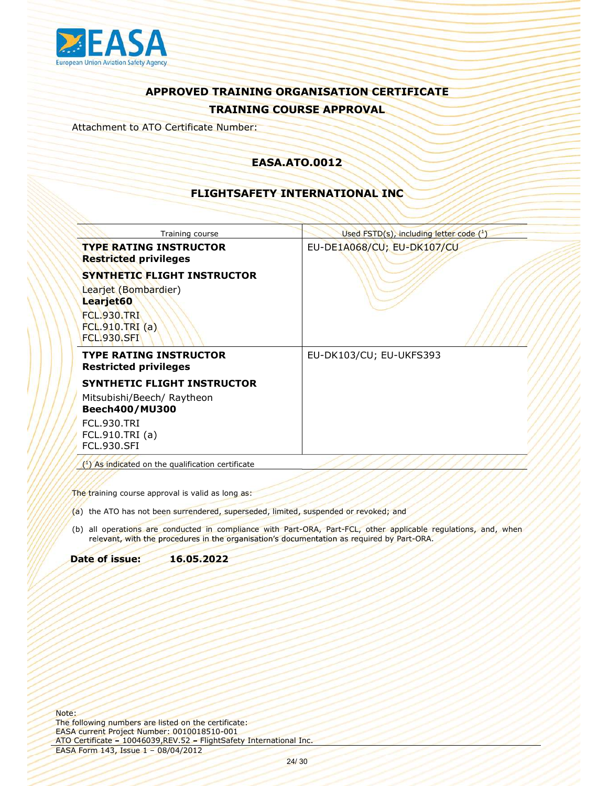

Attachment to ATO Certificate Number:

### EASA.ATO.0012

### FLIGHTSAFETY INTERNATIONAL INC

| <b>TYPE RATING INSTRUCTOR</b><br>EU-DE1A068/CU; EU-DK107/CU<br><b>Restricted privileges</b><br><b>SYNTHETIC FLIGHT INSTRUCTOR</b><br>Learjet (Bombardier)<br>Learjet60<br><b>FCL.930.TRI</b><br>FCL.910.TRI(a)<br><b>FCL.930.SFI</b><br><b>TYPE RATING INSTRUCTOR</b><br>EU-DK103/CU; EU-UKFS393<br><b>Restricted privileges</b><br><b>SYNTHETIC FLIGHT INSTRUCTOR</b><br>Mitsubishi/Beech/ Raytheon<br><b>Beech400/MU300</b><br><b>FCL.930.TRI</b><br>FCL.910.TRI (a)<br><b>FCL.930.SFI</b><br>$(1)$ As indicated on the qualification certificate<br>The training course approval is valid as long as:<br>(a) the ATO has not been surrendered, superseded, limited, suspended or revoked; and<br>(b) all operations are conducted in compliance with Part-ORA, Part-FCL, other applicable regulations, and, when<br>relevant, with the procedures in the organisation's documentation as required by Part-ORA.<br>16.05.2022<br>Date of issue: | Training course | Used $\overline{\text{FSTD}(s)}$ , including letter code $(^1)$ |
|---------------------------------------------------------------------------------------------------------------------------------------------------------------------------------------------------------------------------------------------------------------------------------------------------------------------------------------------------------------------------------------------------------------------------------------------------------------------------------------------------------------------------------------------------------------------------------------------------------------------------------------------------------------------------------------------------------------------------------------------------------------------------------------------------------------------------------------------------------------------------------------------------------------------------------------------------|-----------------|-----------------------------------------------------------------|
|                                                                                                                                                                                                                                                                                                                                                                                                                                                                                                                                                                                                                                                                                                                                                                                                                                                                                                                                                   |                 |                                                                 |
|                                                                                                                                                                                                                                                                                                                                                                                                                                                                                                                                                                                                                                                                                                                                                                                                                                                                                                                                                   |                 |                                                                 |
|                                                                                                                                                                                                                                                                                                                                                                                                                                                                                                                                                                                                                                                                                                                                                                                                                                                                                                                                                   |                 |                                                                 |
|                                                                                                                                                                                                                                                                                                                                                                                                                                                                                                                                                                                                                                                                                                                                                                                                                                                                                                                                                   |                 |                                                                 |
|                                                                                                                                                                                                                                                                                                                                                                                                                                                                                                                                                                                                                                                                                                                                                                                                                                                                                                                                                   |                 |                                                                 |
|                                                                                                                                                                                                                                                                                                                                                                                                                                                                                                                                                                                                                                                                                                                                                                                                                                                                                                                                                   |                 |                                                                 |
|                                                                                                                                                                                                                                                                                                                                                                                                                                                                                                                                                                                                                                                                                                                                                                                                                                                                                                                                                   |                 |                                                                 |
|                                                                                                                                                                                                                                                                                                                                                                                                                                                                                                                                                                                                                                                                                                                                                                                                                                                                                                                                                   |                 |                                                                 |

- 
- ed, suspended or revoked; and<br>Part-ORA, Part-FCL, other applicable regulations, and, when<br>ocumentation as required by Part-ORA<br>Decumentation as required by Part-ORA<br>All Inc.<br>Part and Inc. relevant, with the procedures in the organisation's documentation as required by Part-ORA.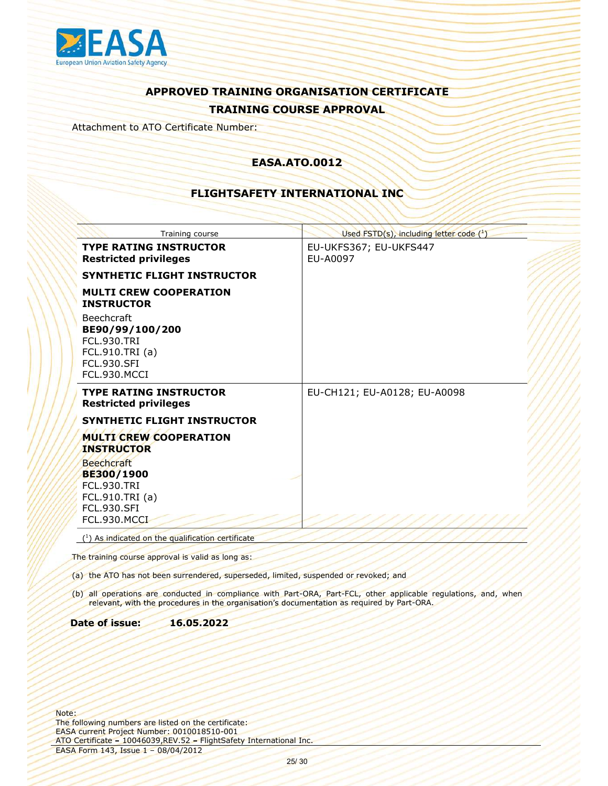

Attachment to ATO Certificate Number:

### EASA.ATO.0012

### FLIGHTSAFETY INTERNATIONAL INC

|                                                                                                                | Training course                                                                                                                                                   | Used FSTD(s), including letter code (1)                                                                         |
|----------------------------------------------------------------------------------------------------------------|-------------------------------------------------------------------------------------------------------------------------------------------------------------------|-----------------------------------------------------------------------------------------------------------------|
|                                                                                                                | <b>TYPE RATING INSTRUCTOR</b><br><b>Restricted privileges</b>                                                                                                     | EU-UKFS367; EU-UKFS447<br>EU-A0097                                                                              |
|                                                                                                                | SYNTHETIC FLIGHT INSTRUCTOR                                                                                                                                       |                                                                                                                 |
| <b>INSTRUCTOR</b>                                                                                              | <b>MULTI CREW COOPERATION</b>                                                                                                                                     |                                                                                                                 |
| <b>Beechcraft</b><br><b>FCL.930.TRI</b><br>FCL.910.TRI (a)<br><b>FCL.930.SFI</b><br>FCL.930.MCCI               | BE90/99/100/200                                                                                                                                                   |                                                                                                                 |
|                                                                                                                | <b>TYPE RATING INSTRUCTOR</b><br><b>Restricted privileges</b>                                                                                                     | EU-CH121; EU-A0128; EU-A0098                                                                                    |
|                                                                                                                | SYNTHETIC FLIGHT INSTRUCTOR                                                                                                                                       |                                                                                                                 |
| <b>INSTRUCTOR</b>                                                                                              | <b>MULTI CREW COOPERATION</b>                                                                                                                                     |                                                                                                                 |
| <b>Beechcraft</b><br>BE300/1900<br><b>FCL.930.TRI</b><br>FCL.910.TRI (a)<br><b>FCL.930.SFI</b><br>FCL.930.MCCI |                                                                                                                                                                   |                                                                                                                 |
|                                                                                                                | (1) As indicated on the qualification certificate                                                                                                                 |                                                                                                                 |
|                                                                                                                | The training course approval is valid as long as:                                                                                                                 |                                                                                                                 |
|                                                                                                                | (a) the ATO has not been surrendered, superseded, limited, suspended or revoked; and                                                                              |                                                                                                                 |
|                                                                                                                | relevant, with the procedures in the organisation's documentation as required by Part-ORA.                                                                        | (b) all operations are conducted in compliance with Part-ORA, Part-FCL, other applicable regulations, and, when |
| Date of issue:                                                                                                 | 16.05.2022                                                                                                                                                        |                                                                                                                 |
|                                                                                                                |                                                                                                                                                                   |                                                                                                                 |
|                                                                                                                |                                                                                                                                                                   |                                                                                                                 |
|                                                                                                                | following numbers are listed on the certificate:<br>A current Project Number: 0010018510-001<br>Certificate - 10046039, REV.52 - Flight Safety International Inc. |                                                                                                                 |
|                                                                                                                | 4 Form 143, Issue 1 - 08/04/2012<br>25/30                                                                                                                         |                                                                                                                 |
|                                                                                                                |                                                                                                                                                                   |                                                                                                                 |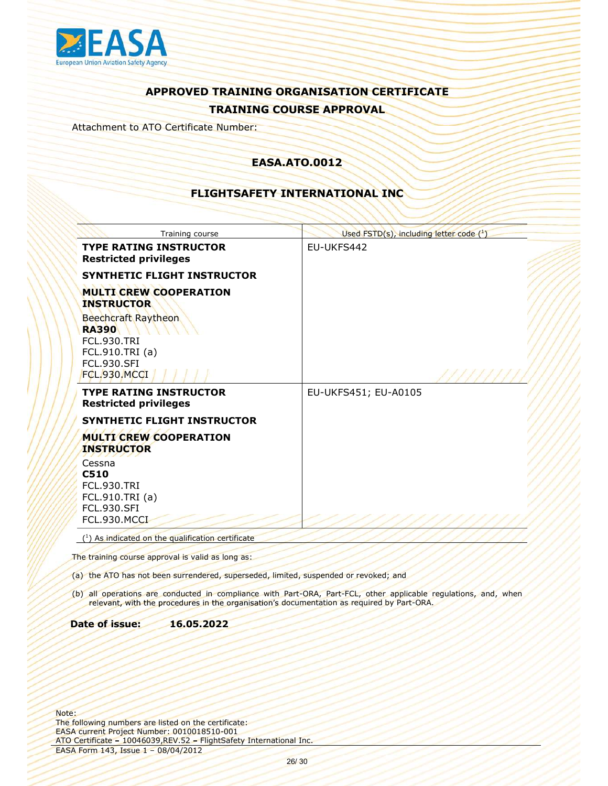

Attachment to ATO Certificate Number:

### EASA.ATO.0012

### FLIGHTSAFETY INTERNATIONAL INC

|                                                                                               | Training course<br><b>TYPE RATING INSTRUCTOR</b>                                                                                                                 | Used FSTD(s), including letter code (1)<br>EU-UKFS442                                                                                                                                                         |
|-----------------------------------------------------------------------------------------------|------------------------------------------------------------------------------------------------------------------------------------------------------------------|---------------------------------------------------------------------------------------------------------------------------------------------------------------------------------------------------------------|
|                                                                                               | <b>Restricted privileges</b>                                                                                                                                     |                                                                                                                                                                                                               |
|                                                                                               | SYNTHETIC FLIGHT INSTRUCTOR                                                                                                                                      |                                                                                                                                                                                                               |
| <b>INSTRUCTOR</b>                                                                             | <b>MULTI CREW COOPERATION</b>                                                                                                                                    |                                                                                                                                                                                                               |
| <b>RA390</b><br><b>FCL.930.TRI</b><br>FCL.910.TRI (a)                                         | <b>Beechcraft Raytheon</b>                                                                                                                                       |                                                                                                                                                                                                               |
| <b>FCL.930.SFI</b><br>FCL.930.MCCI                                                            |                                                                                                                                                                  |                                                                                                                                                                                                               |
|                                                                                               | <b>TYPE RATING INSTRUCTOR</b><br><b>Restricted privileges</b>                                                                                                    | EU-UKFS451; EU-A0105                                                                                                                                                                                          |
|                                                                                               | SYNTHETIC FLIGHT INSTRUCTOR                                                                                                                                      |                                                                                                                                                                                                               |
| <b>INSTRUCTOR</b>                                                                             | <b>MULTI CREW COOPERATION</b>                                                                                                                                    |                                                                                                                                                                                                               |
| Cessna<br>C510<br><b>FCL.930.TRI</b><br>FCL.910.TRI (a)<br><b>FCL.930.SFI</b><br>FCL.930.MCCI |                                                                                                                                                                  |                                                                                                                                                                                                               |
|                                                                                               | (1) As indicated on the qualification certificate                                                                                                                |                                                                                                                                                                                                               |
|                                                                                               | The training course approval is valid as long as:                                                                                                                |                                                                                                                                                                                                               |
|                                                                                               | (a) the ATO has not been surrendered, superseded, limited, suspended or revoked; and                                                                             |                                                                                                                                                                                                               |
|                                                                                               |                                                                                                                                                                  | (b) all operations are conducted in compliance with Part-ORA, Part-FCL, other applicable regulations, and, when<br>relevant, with the procedures in the organisation's documentation as required by Part-ORA. |
| Date of issue:                                                                                | 16.05.2022                                                                                                                                                       |                                                                                                                                                                                                               |
|                                                                                               |                                                                                                                                                                  |                                                                                                                                                                                                               |
|                                                                                               | following numbers are listed on the certificate:<br>A current Project Number: 0010018510-001<br>Certificate - 10046039, REV.52 - FlightSafety International Inc. |                                                                                                                                                                                                               |
|                                                                                               | A Form 143, Issue 1 - 08/04/2012                                                                                                                                 | 26/30                                                                                                                                                                                                         |
|                                                                                               |                                                                                                                                                                  |                                                                                                                                                                                                               |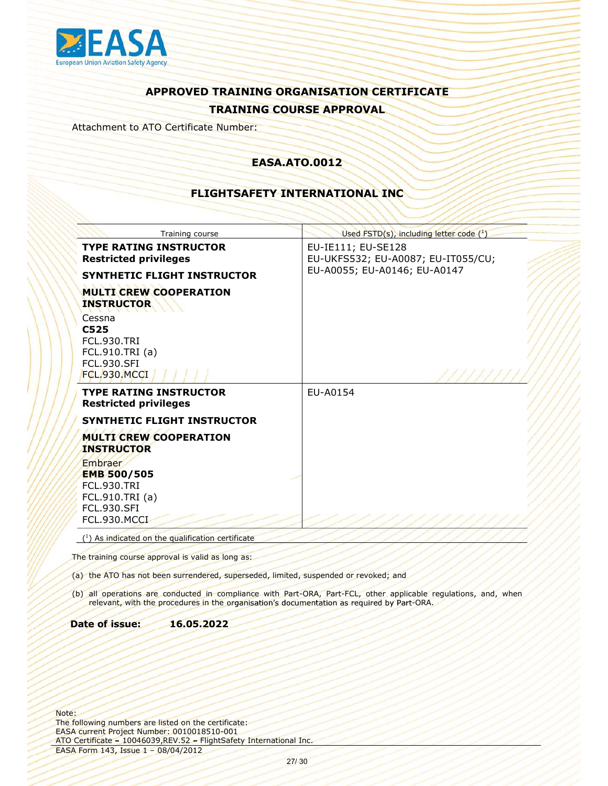

Attachment to ATO Certificate Number:

### EASA.ATO.0012

### FLIGHTSAFETY INTERNATIONAL INC

| Used FSTD(s), including letter code (1)<br>Training course<br><b>TYPE RATING INSTRUCTOR</b><br>EU-IE111; EU-SE128<br><b>Restricted privileges</b><br>EU-UKFS532; EU-A0087; EU-IT055/CU;<br>EU-A0055; EU-A0146; EU-A0147<br>SYNTHETIC FLIGHT INSTRUCTOR<br><b>MULTI CREW COOPERATION</b><br><b>INSTRUCTOR</b><br>Cessna<br>C525<br><b>FCL.930.TRI</b><br>FCL.910.TRI (a)<br><b>FCL.930.SFI</b><br>FCL.930.MCCI<br><b>TYPE RATING INSTRUCTOR</b><br>EU-A0154 |
|------------------------------------------------------------------------------------------------------------------------------------------------------------------------------------------------------------------------------------------------------------------------------------------------------------------------------------------------------------------------------------------------------------------------------------------------------------|
|                                                                                                                                                                                                                                                                                                                                                                                                                                                            |
|                                                                                                                                                                                                                                                                                                                                                                                                                                                            |
|                                                                                                                                                                                                                                                                                                                                                                                                                                                            |
|                                                                                                                                                                                                                                                                                                                                                                                                                                                            |
| <b>Restricted privileges</b>                                                                                                                                                                                                                                                                                                                                                                                                                               |
| SYNTHETIC FLIGHT INSTRUCTOR                                                                                                                                                                                                                                                                                                                                                                                                                                |
| <b>MULTI CREW COOPERATION</b><br><b>INSTRUCTOR</b>                                                                                                                                                                                                                                                                                                                                                                                                         |
| Embraer<br><b>EMB 500/505</b><br><b>FCL.930.TRI</b><br>FCL.910.TRI (a)<br><b>FCL.930.SFI</b><br>FCL.930.MCCI                                                                                                                                                                                                                                                                                                                                               |
| (1) As indicated on the qualification certificate                                                                                                                                                                                                                                                                                                                                                                                                          |
| The training course approval is valid as long as:                                                                                                                                                                                                                                                                                                                                                                                                          |
| (a) the ATO has not been surrendered, superseded, limited, suspended or revoked; and                                                                                                                                                                                                                                                                                                                                                                       |
| (b) all operations are conducted in compliance with Part-ORA, Part-FCL, other applicable regulations, and, when<br>relevant, with the procedures in the organisation's documentation as required by Part-ORA.                                                                                                                                                                                                                                              |
| Date of issue:<br>16.05.2022                                                                                                                                                                                                                                                                                                                                                                                                                               |
|                                                                                                                                                                                                                                                                                                                                                                                                                                                            |
| following numbers are listed on the certificate:<br>A current Project Number: 0010018510-001<br>Certificate - 10046039, REV.52 - FlightSafety International Inc.                                                                                                                                                                                                                                                                                           |
| A Form 143, Issue 1 - 08/04/2012<br>27/30                                                                                                                                                                                                                                                                                                                                                                                                                  |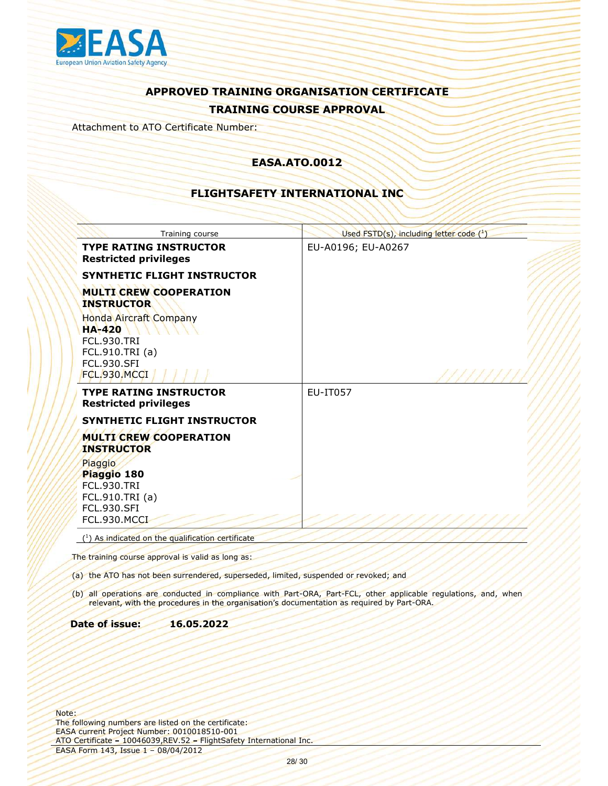

Attachment to ATO Certificate Number:

### EASA.ATO.0012

### FLIGHTSAFETY INTERNATIONAL INC

|                                                                                                       | Training course                                                                                         | Used FSTD(s), including letter code (1)                                                                         |
|-------------------------------------------------------------------------------------------------------|---------------------------------------------------------------------------------------------------------|-----------------------------------------------------------------------------------------------------------------|
|                                                                                                       | <b>TYPE RATING INSTRUCTOR</b><br><b>Restricted privileges</b>                                           | EU-A0196; EU-A0267                                                                                              |
|                                                                                                       | <b>SYNTHETIC FLIGHT INSTRUCTOR</b>                                                                      |                                                                                                                 |
| <b>INSTRUCTOR</b>                                                                                     | <b>MULTI CREW COOPERATION</b>                                                                           |                                                                                                                 |
| <b>HA-420</b><br><b>FCL.930.TRI</b><br>FCL.910.TRI (a)<br><b>FCL.930.SFI</b><br>FCL.930, MCCI         | <b>Honda Aircraft Company</b>                                                                           |                                                                                                                 |
|                                                                                                       |                                                                                                         |                                                                                                                 |
|                                                                                                       | <b>TYPE RATING INSTRUCTOR</b><br><b>Restricted privileges</b>                                           | EU-IT057                                                                                                        |
|                                                                                                       | SYNTHETIC FLIGHT INSTRUCTOR                                                                             |                                                                                                                 |
| <b>INSTRUCTOR</b>                                                                                     | <b>MULTI CREW COOPERATION</b>                                                                           |                                                                                                                 |
| Piaggio<br>Piaggio 180<br><b>FCL.930.TRI</b><br>FCL.910.TRI (a)<br><b>FCL.930.SFI</b><br>FCL.930.MCCI |                                                                                                         |                                                                                                                 |
|                                                                                                       | (1) As indicated on the qualification certificate                                                       |                                                                                                                 |
|                                                                                                       | The training course approval is valid as long as:                                                       |                                                                                                                 |
|                                                                                                       | (a) the ATO has not been surrendered, superseded, limited, suspended or revoked; and                    |                                                                                                                 |
|                                                                                                       | relevant, with the procedures in the organisation's documentation as required by Part-ORA.              | (b) all operations are conducted in compliance with Part-ORA, Part-FCL, other applicable regulations, and, when |
| <b>Date of issue:</b>                                                                                 | 16.05.2022                                                                                              |                                                                                                                 |
|                                                                                                       |                                                                                                         |                                                                                                                 |
| e:                                                                                                    | following numbers are listed on the certificate:<br>A current Project Number: 0010018510-001            |                                                                                                                 |
|                                                                                                       | Certificate - 10046039, REV. 52 - Flight Safety International Inc.<br>SA Form 143, Issue 1 - 08/04/2012 |                                                                                                                 |
|                                                                                                       | 28/30                                                                                                   |                                                                                                                 |
|                                                                                                       |                                                                                                         |                                                                                                                 |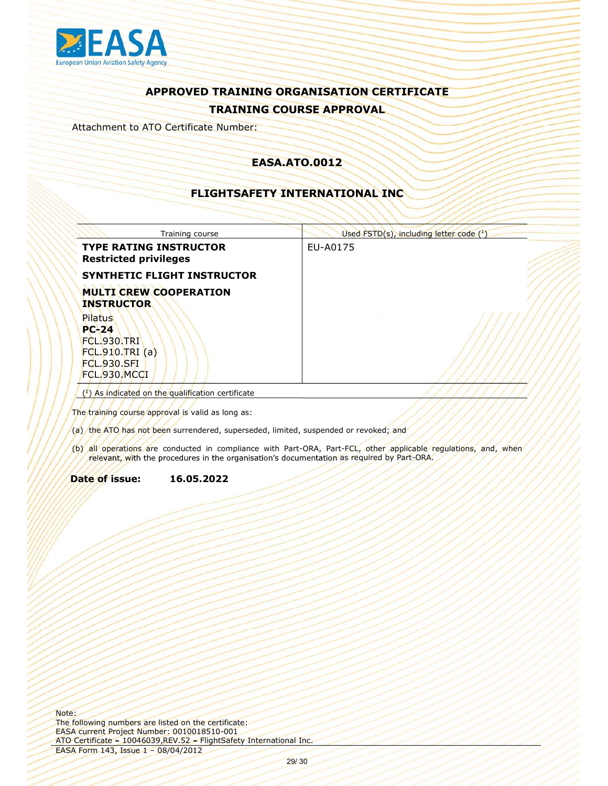

Attachment to ATO Certificate Number:

### EASA.ATO.0012

### FLIGHTSAFETY INTERNATIONAL INC

| FLIGHTSAFETY INTERNATIONAL INC                                                                                                                                                                                                                               |  |
|--------------------------------------------------------------------------------------------------------------------------------------------------------------------------------------------------------------------------------------------------------------|--|
| Training course<br>Used $\overline{\text{FSTD}(s)}$ , including letter code $(^1)$                                                                                                                                                                           |  |
| <b>TYPE RATING INSTRUCTOR</b><br>EU-A0175<br><b>Restricted privileges</b>                                                                                                                                                                                    |  |
| SYNTHETIC FLIGHT INSTRUCTOR                                                                                                                                                                                                                                  |  |
| <b>MULTI CREW COOPERATION</b><br><b>INSTRUCTOR</b>                                                                                                                                                                                                           |  |
| Pilatus<br>$PC-24$<br>FCL.930.TRI<br>FCL.910.TRI(a)<br><b>FCL.930.SFI</b><br>FCL.930.MCCI                                                                                                                                                                    |  |
| (1) As indicated on the qualification certificate                                                                                                                                                                                                            |  |
| The training course approval is valid as long as:<br>(a) the ATO has not been surrendered, superseded, limited, suspended or revoked; and<br>(b) all operations are conducted in compliance with Part-ORA, Part-FCL, other applicable regulations, and, when |  |
| relevant, with the procedures in the organisation's documentation as required by Part-ORA.                                                                                                                                                                   |  |
| Date of issue:<br>16.05.2022                                                                                                                                                                                                                                 |  |
|                                                                                                                                                                                                                                                              |  |

- 
- relevant, with the procedures in the organisation's documentation as required by Part-ORA.

### Date of issue: 16.05.2022